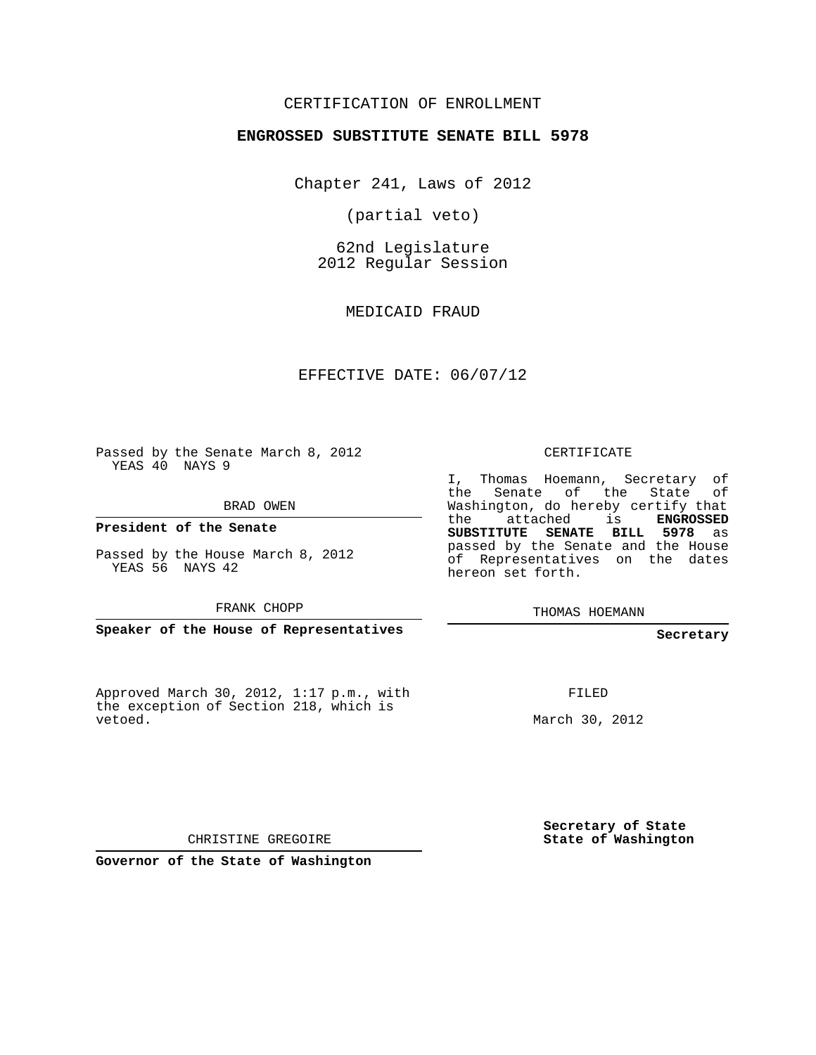### CERTIFICATION OF ENROLLMENT

### **ENGROSSED SUBSTITUTE SENATE BILL 5978**

Chapter 241, Laws of 2012

(partial veto)

62nd Legislature 2012 Regular Session

MEDICAID FRAUD

### EFFECTIVE DATE: 06/07/12

Passed by the Senate March 8, 2012 YEAS 40 NAYS 9

BRAD OWEN

**President of the Senate**

Passed by the House March 8, 2012 YEAS 56 NAYS 42

FRANK CHOPP

**Speaker of the House of Representatives**

Approved March 30, 2012, 1:17 p.m., with the exception of Section 218, which is vetoed.

CERTIFICATE

I, Thomas Hoemann, Secretary of the Senate of the State of Washington, do hereby certify that the attached is **ENGROSSED SUBSTITUTE SENATE BILL 5978** as passed by the Senate and the House of Representatives on the dates hereon set forth.

THOMAS HOEMANN

### **Secretary**

FILED

March 30, 2012

**Secretary of State State of Washington**

CHRISTINE GREGOIRE

**Governor of the State of Washington**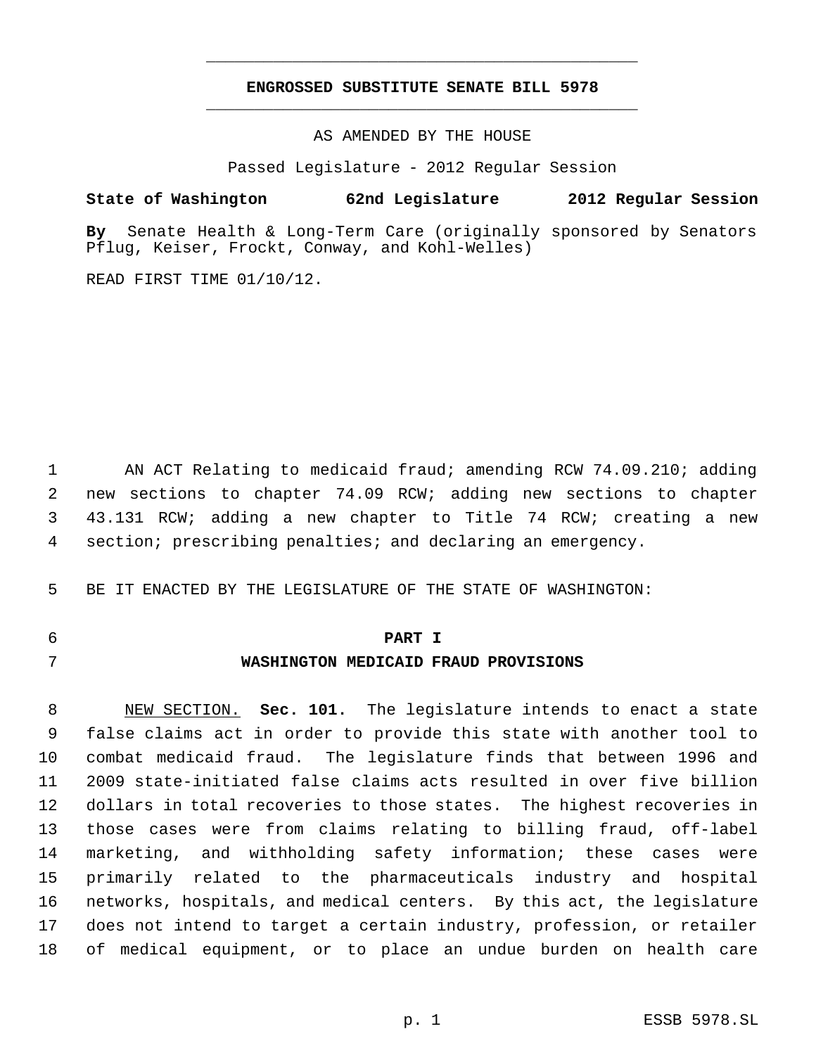## **ENGROSSED SUBSTITUTE SENATE BILL 5978** \_\_\_\_\_\_\_\_\_\_\_\_\_\_\_\_\_\_\_\_\_\_\_\_\_\_\_\_\_\_\_\_\_\_\_\_\_\_\_\_\_\_\_\_\_

\_\_\_\_\_\_\_\_\_\_\_\_\_\_\_\_\_\_\_\_\_\_\_\_\_\_\_\_\_\_\_\_\_\_\_\_\_\_\_\_\_\_\_\_\_

AS AMENDED BY THE HOUSE

Passed Legislature - 2012 Regular Session

### **State of Washington 62nd Legislature 2012 Regular Session**

**By** Senate Health & Long-Term Care (originally sponsored by Senators Pflug, Keiser, Frockt, Conway, and Kohl-Welles)

READ FIRST TIME 01/10/12.

1 AN ACT Relating to medicaid fraud; amending RCW 74.09.210; adding new sections to chapter 74.09 RCW; adding new sections to chapter 43.131 RCW; adding a new chapter to Title 74 RCW; creating a new section; prescribing penalties; and declaring an emergency.

BE IT ENACTED BY THE LEGISLATURE OF THE STATE OF WASHINGTON:

# **PART I WASHINGTON MEDICAID FRAUD PROVISIONS**

 NEW SECTION. **Sec. 101.** The legislature intends to enact a state false claims act in order to provide this state with another tool to combat medicaid fraud. The legislature finds that between 1996 and 2009 state-initiated false claims acts resulted in over five billion dollars in total recoveries to those states. The highest recoveries in those cases were from claims relating to billing fraud, off-label marketing, and withholding safety information; these cases were primarily related to the pharmaceuticals industry and hospital networks, hospitals, and medical centers. By this act, the legislature does not intend to target a certain industry, profession, or retailer of medical equipment, or to place an undue burden on health care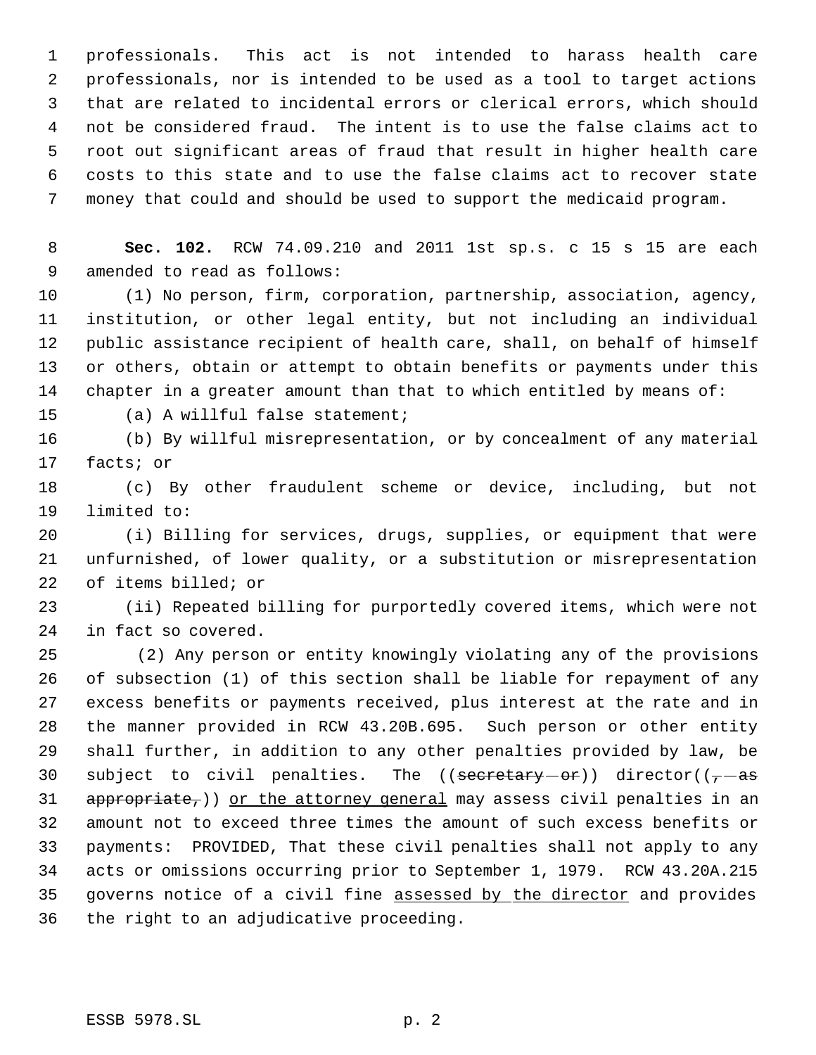professionals. This act is not intended to harass health care professionals, nor is intended to be used as a tool to target actions that are related to incidental errors or clerical errors, which should not be considered fraud. The intent is to use the false claims act to root out significant areas of fraud that result in higher health care costs to this state and to use the false claims act to recover state money that could and should be used to support the medicaid program.

 **Sec. 102.** RCW 74.09.210 and 2011 1st sp.s. c 15 s 15 are each amended to read as follows:

 (1) No person, firm, corporation, partnership, association, agency, institution, or other legal entity, but not including an individual public assistance recipient of health care, shall, on behalf of himself or others, obtain or attempt to obtain benefits or payments under this chapter in a greater amount than that to which entitled by means of:

(a) A willful false statement;

 (b) By willful misrepresentation, or by concealment of any material facts; or

 (c) By other fraudulent scheme or device, including, but not limited to:

 (i) Billing for services, drugs, supplies, or equipment that were unfurnished, of lower quality, or a substitution or misrepresentation of items billed; or

 (ii) Repeated billing for purportedly covered items, which were not in fact so covered.

25 (2) Any person or entity knowingly violating any of the provisions of subsection (1) of this section shall be liable for repayment of any excess benefits or payments received, plus interest at the rate and in the manner provided in RCW 43.20B.695. Such person or other entity shall further, in addition to any other penalties provided by law, be 30 subject to civil penalties. The  $((\text{secretary}-\text{or}))$  director $((\tau-\text{as})$ 31 appropriate,)) or the attorney general may assess civil penalties in an amount not to exceed three times the amount of such excess benefits or payments: PROVIDED, That these civil penalties shall not apply to any acts or omissions occurring prior to September 1, 1979. RCW 43.20A.215 governs notice of a civil fine assessed by the director and provides the right to an adjudicative proceeding.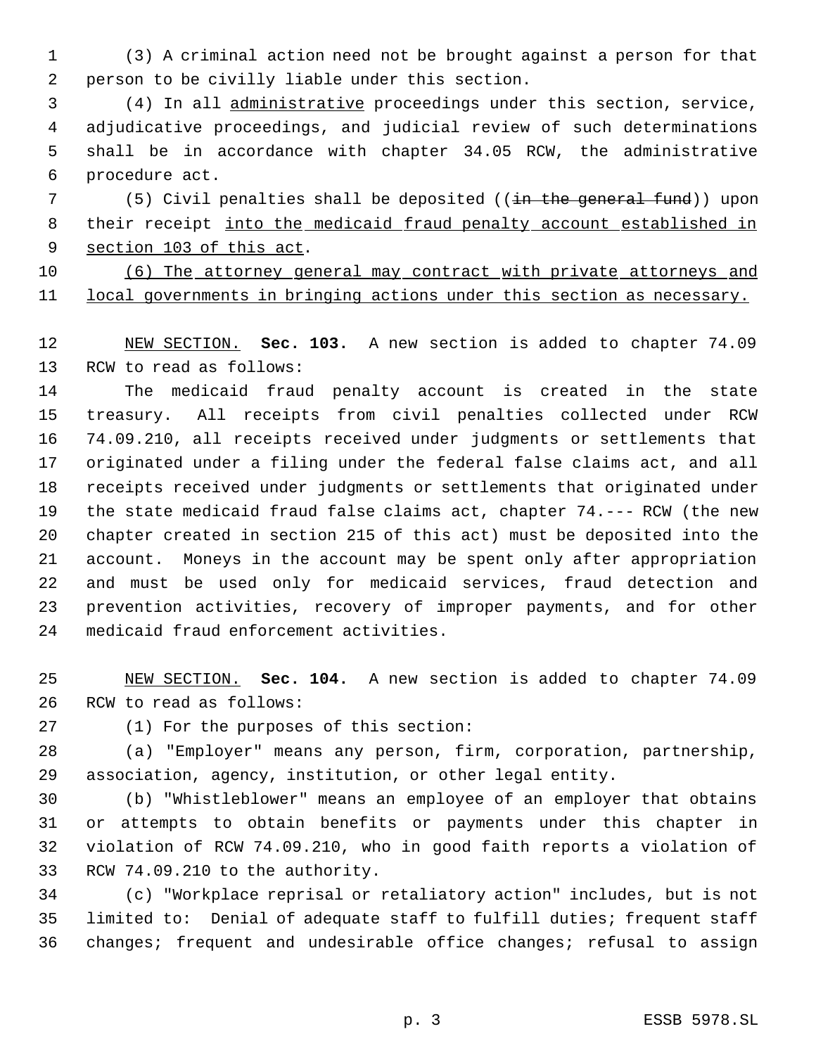(3) A criminal action need not be brought against a person for that person to be civilly liable under this section.

 (4) In all administrative proceedings under this section, service, adjudicative proceedings, and judicial review of such determinations shall be in accordance with chapter 34.05 RCW, the administrative procedure act.

7 (5) Civil penalties shall be deposited ((in the general fund)) upon their receipt into the medicaid fraud penalty account established in 9 section 103 of this act.

 (6) The attorney general may contract with private attorneys and 11 local governments in bringing actions under this section as necessary.

 NEW SECTION. **Sec. 103.** A new section is added to chapter 74.09 RCW to read as follows:

 The medicaid fraud penalty account is created in the state treasury. All receipts from civil penalties collected under RCW 74.09.210, all receipts received under judgments or settlements that originated under a filing under the federal false claims act, and all receipts received under judgments or settlements that originated under the state medicaid fraud false claims act, chapter 74.--- RCW (the new chapter created in section 215 of this act) must be deposited into the account. Moneys in the account may be spent only after appropriation and must be used only for medicaid services, fraud detection and prevention activities, recovery of improper payments, and for other medicaid fraud enforcement activities.

 NEW SECTION. **Sec. 104.** A new section is added to chapter 74.09 RCW to read as follows:

(1) For the purposes of this section:

 (a) "Employer" means any person, firm, corporation, partnership, association, agency, institution, or other legal entity.

 (b) "Whistleblower" means an employee of an employer that obtains or attempts to obtain benefits or payments under this chapter in violation of RCW 74.09.210, who in good faith reports a violation of RCW 74.09.210 to the authority.

 (c) "Workplace reprisal or retaliatory action" includes, but is not limited to: Denial of adequate staff to fulfill duties; frequent staff changes; frequent and undesirable office changes; refusal to assign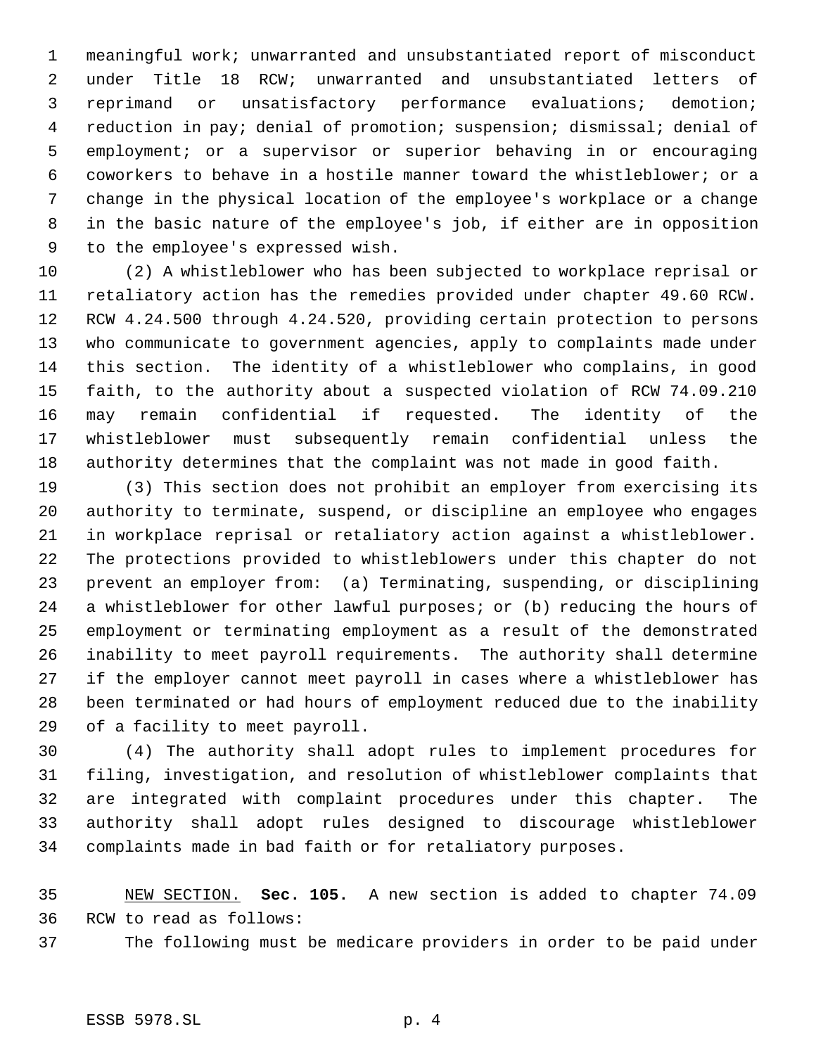meaningful work; unwarranted and unsubstantiated report of misconduct under Title 18 RCW; unwarranted and unsubstantiated letters of reprimand or unsatisfactory performance evaluations; demotion; reduction in pay; denial of promotion; suspension; dismissal; denial of employment; or a supervisor or superior behaving in or encouraging coworkers to behave in a hostile manner toward the whistleblower; or a change in the physical location of the employee's workplace or a change in the basic nature of the employee's job, if either are in opposition to the employee's expressed wish.

 (2) A whistleblower who has been subjected to workplace reprisal or retaliatory action has the remedies provided under chapter 49.60 RCW. RCW 4.24.500 through 4.24.520, providing certain protection to persons who communicate to government agencies, apply to complaints made under this section. The identity of a whistleblower who complains, in good faith, to the authority about a suspected violation of RCW 74.09.210 may remain confidential if requested. The identity of the whistleblower must subsequently remain confidential unless the authority determines that the complaint was not made in good faith.

 (3) This section does not prohibit an employer from exercising its authority to terminate, suspend, or discipline an employee who engages in workplace reprisal or retaliatory action against a whistleblower. The protections provided to whistleblowers under this chapter do not prevent an employer from: (a) Terminating, suspending, or disciplining a whistleblower for other lawful purposes; or (b) reducing the hours of employment or terminating employment as a result of the demonstrated inability to meet payroll requirements. The authority shall determine if the employer cannot meet payroll in cases where a whistleblower has been terminated or had hours of employment reduced due to the inability of a facility to meet payroll.

 (4) The authority shall adopt rules to implement procedures for filing, investigation, and resolution of whistleblower complaints that are integrated with complaint procedures under this chapter. The authority shall adopt rules designed to discourage whistleblower complaints made in bad faith or for retaliatory purposes.

 NEW SECTION. **Sec. 105.** A new section is added to chapter 74.09 RCW to read as follows:

The following must be medicare providers in order to be paid under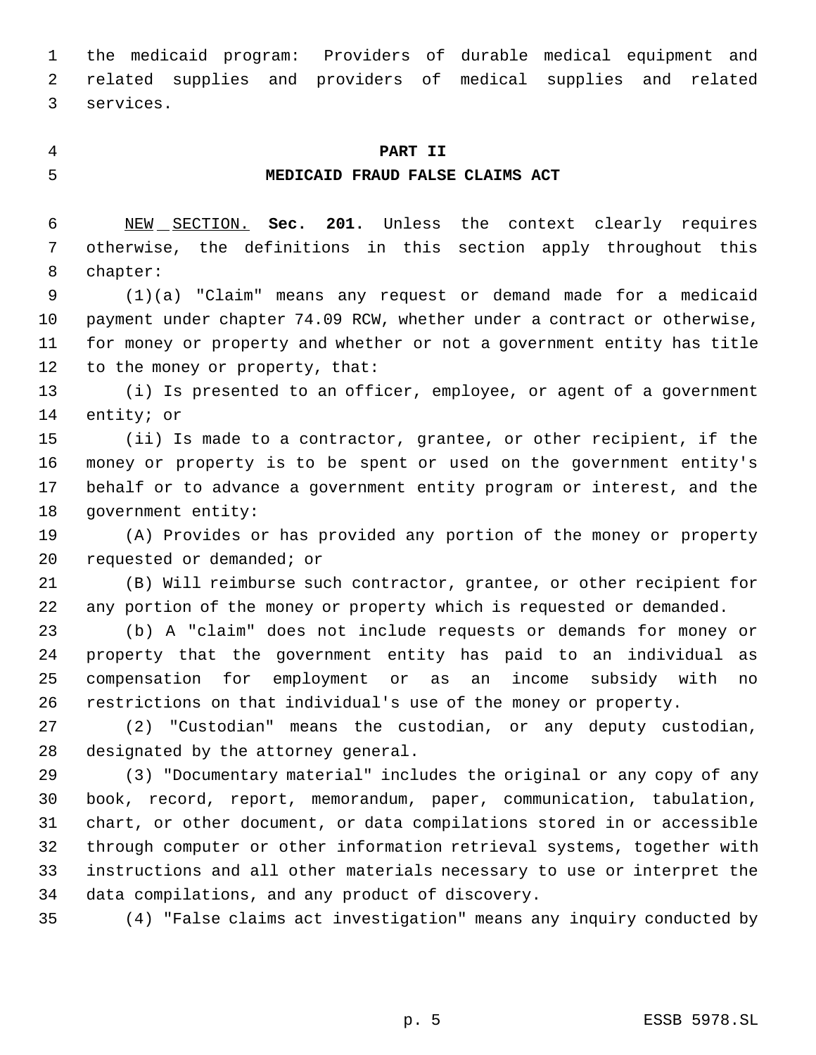the medicaid program: Providers of durable medical equipment and related supplies and providers of medical supplies and related services.

### **PART II**

### **MEDICAID FRAUD FALSE CLAIMS ACT**

 NEW SECTION. **Sec. 201.** Unless the context clearly requires otherwise, the definitions in this section apply throughout this chapter:

 (1)(a) "Claim" means any request or demand made for a medicaid payment under chapter 74.09 RCW, whether under a contract or otherwise, for money or property and whether or not a government entity has title to the money or property, that:

 (i) Is presented to an officer, employee, or agent of a government entity; or

 (ii) Is made to a contractor, grantee, or other recipient, if the money or property is to be spent or used on the government entity's behalf or to advance a government entity program or interest, and the government entity:

 (A) Provides or has provided any portion of the money or property requested or demanded; or

 (B) Will reimburse such contractor, grantee, or other recipient for any portion of the money or property which is requested or demanded.

 (b) A "claim" does not include requests or demands for money or property that the government entity has paid to an individual as compensation for employment or as an income subsidy with no restrictions on that individual's use of the money or property.

 (2) "Custodian" means the custodian, or any deputy custodian, designated by the attorney general.

 (3) "Documentary material" includes the original or any copy of any book, record, report, memorandum, paper, communication, tabulation, chart, or other document, or data compilations stored in or accessible through computer or other information retrieval systems, together with instructions and all other materials necessary to use or interpret the data compilations, and any product of discovery.

(4) "False claims act investigation" means any inquiry conducted by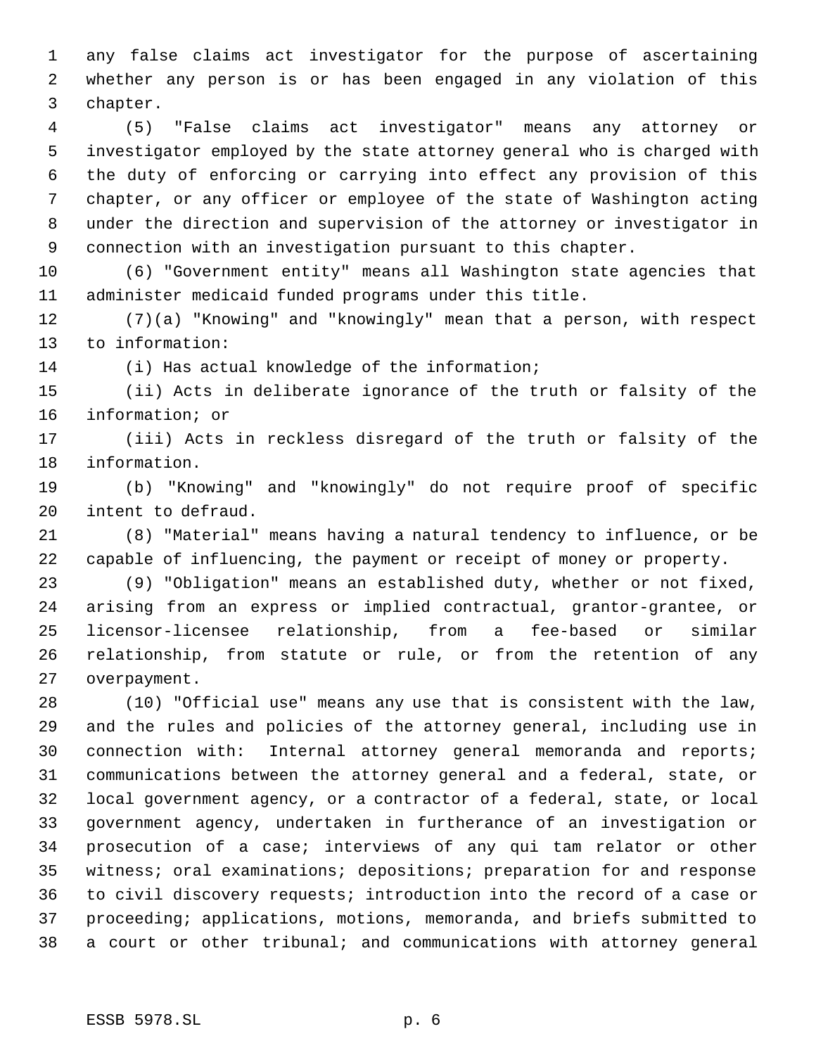any false claims act investigator for the purpose of ascertaining whether any person is or has been engaged in any violation of this chapter.

 (5) "False claims act investigator" means any attorney or investigator employed by the state attorney general who is charged with the duty of enforcing or carrying into effect any provision of this chapter, or any officer or employee of the state of Washington acting under the direction and supervision of the attorney or investigator in connection with an investigation pursuant to this chapter.

 (6) "Government entity" means all Washington state agencies that administer medicaid funded programs under this title.

 (7)(a) "Knowing" and "knowingly" mean that a person, with respect to information:

(i) Has actual knowledge of the information;

 (ii) Acts in deliberate ignorance of the truth or falsity of the information; or

 (iii) Acts in reckless disregard of the truth or falsity of the information.

 (b) "Knowing" and "knowingly" do not require proof of specific intent to defraud.

 (8) "Material" means having a natural tendency to influence, or be capable of influencing, the payment or receipt of money or property.

 (9) "Obligation" means an established duty, whether or not fixed, arising from an express or implied contractual, grantor-grantee, or licensor-licensee relationship, from a fee-based or similar relationship, from statute or rule, or from the retention of any overpayment.

 (10) "Official use" means any use that is consistent with the law, and the rules and policies of the attorney general, including use in connection with: Internal attorney general memoranda and reports; communications between the attorney general and a federal, state, or local government agency, or a contractor of a federal, state, or local government agency, undertaken in furtherance of an investigation or prosecution of a case; interviews of any qui tam relator or other witness; oral examinations; depositions; preparation for and response to civil discovery requests; introduction into the record of a case or proceeding; applications, motions, memoranda, and briefs submitted to a court or other tribunal; and communications with attorney general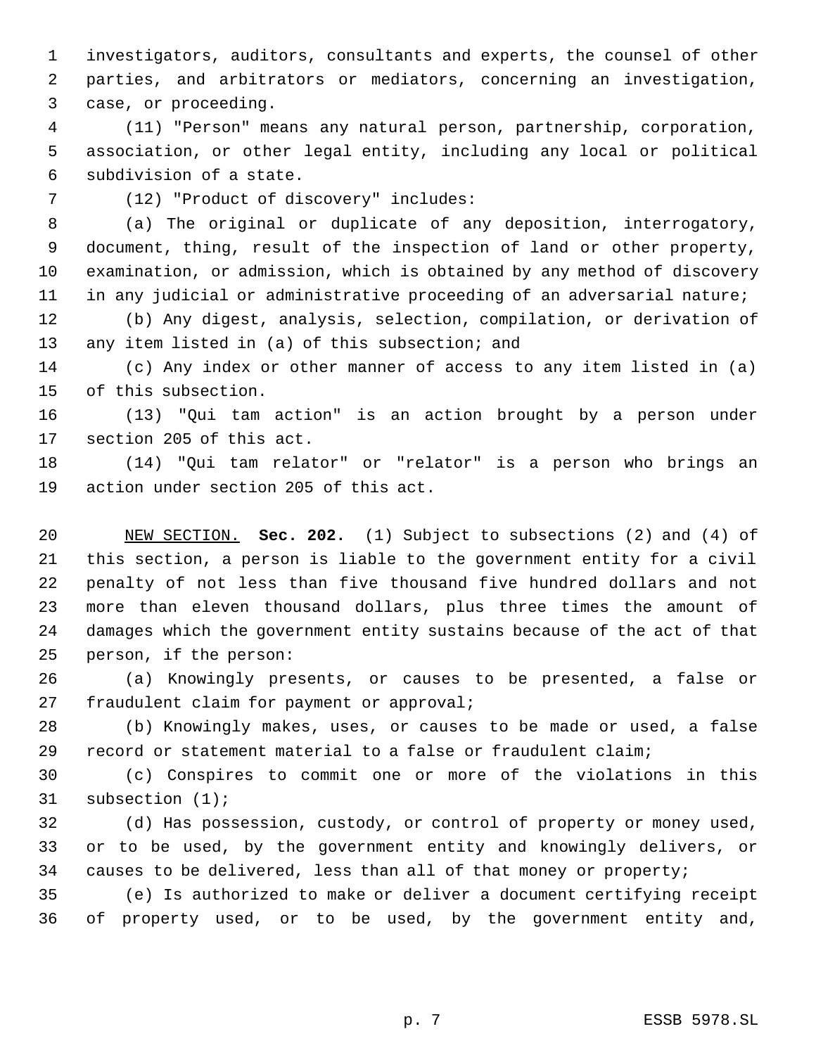investigators, auditors, consultants and experts, the counsel of other parties, and arbitrators or mediators, concerning an investigation, case, or proceeding.

 (11) "Person" means any natural person, partnership, corporation, association, or other legal entity, including any local or political subdivision of a state.

(12) "Product of discovery" includes:

 (a) The original or duplicate of any deposition, interrogatory, document, thing, result of the inspection of land or other property, examination, or admission, which is obtained by any method of discovery in any judicial or administrative proceeding of an adversarial nature;

 (b) Any digest, analysis, selection, compilation, or derivation of 13 any item listed in (a) of this subsection; and

 (c) Any index or other manner of access to any item listed in (a) of this subsection.

 (13) "Qui tam action" is an action brought by a person under section 205 of this act.

 (14) "Qui tam relator" or "relator" is a person who brings an action under section 205 of this act.

 NEW SECTION. **Sec. 202.** (1) Subject to subsections (2) and (4) of this section, a person is liable to the government entity for a civil penalty of not less than five thousand five hundred dollars and not more than eleven thousand dollars, plus three times the amount of damages which the government entity sustains because of the act of that person, if the person:

 (a) Knowingly presents, or causes to be presented, a false or fraudulent claim for payment or approval;

 (b) Knowingly makes, uses, or causes to be made or used, a false record or statement material to a false or fraudulent claim;

 (c) Conspires to commit one or more of the violations in this subsection (1);

 (d) Has possession, custody, or control of property or money used, or to be used, by the government entity and knowingly delivers, or causes to be delivered, less than all of that money or property;

 (e) Is authorized to make or deliver a document certifying receipt of property used, or to be used, by the government entity and,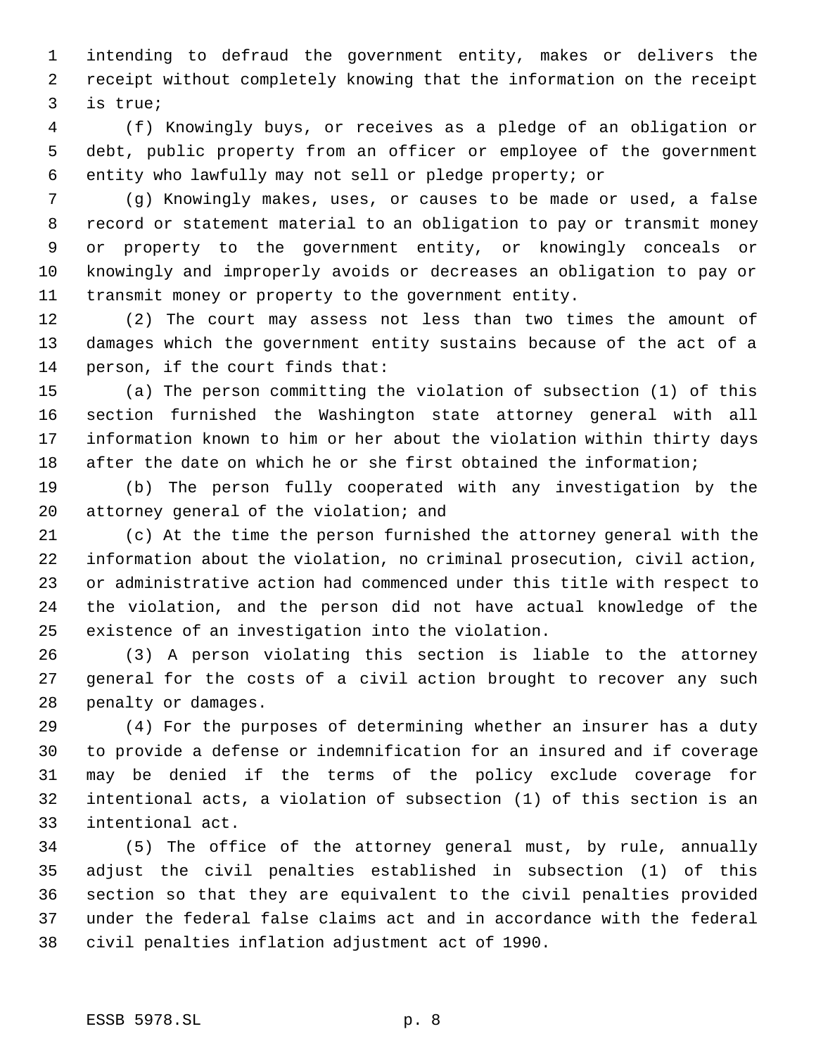intending to defraud the government entity, makes or delivers the receipt without completely knowing that the information on the receipt is true;

 (f) Knowingly buys, or receives as a pledge of an obligation or debt, public property from an officer or employee of the government entity who lawfully may not sell or pledge property; or

 (g) Knowingly makes, uses, or causes to be made or used, a false record or statement material to an obligation to pay or transmit money or property to the government entity, or knowingly conceals or knowingly and improperly avoids or decreases an obligation to pay or transmit money or property to the government entity.

 (2) The court may assess not less than two times the amount of damages which the government entity sustains because of the act of a person, if the court finds that:

 (a) The person committing the violation of subsection (1) of this section furnished the Washington state attorney general with all information known to him or her about the violation within thirty days 18 after the date on which he or she first obtained the information;

 (b) The person fully cooperated with any investigation by the attorney general of the violation; and

 (c) At the time the person furnished the attorney general with the information about the violation, no criminal prosecution, civil action, or administrative action had commenced under this title with respect to the violation, and the person did not have actual knowledge of the existence of an investigation into the violation.

 (3) A person violating this section is liable to the attorney general for the costs of a civil action brought to recover any such penalty or damages.

 (4) For the purposes of determining whether an insurer has a duty to provide a defense or indemnification for an insured and if coverage may be denied if the terms of the policy exclude coverage for intentional acts, a violation of subsection (1) of this section is an intentional act.

 (5) The office of the attorney general must, by rule, annually adjust the civil penalties established in subsection (1) of this section so that they are equivalent to the civil penalties provided under the federal false claims act and in accordance with the federal civil penalties inflation adjustment act of 1990.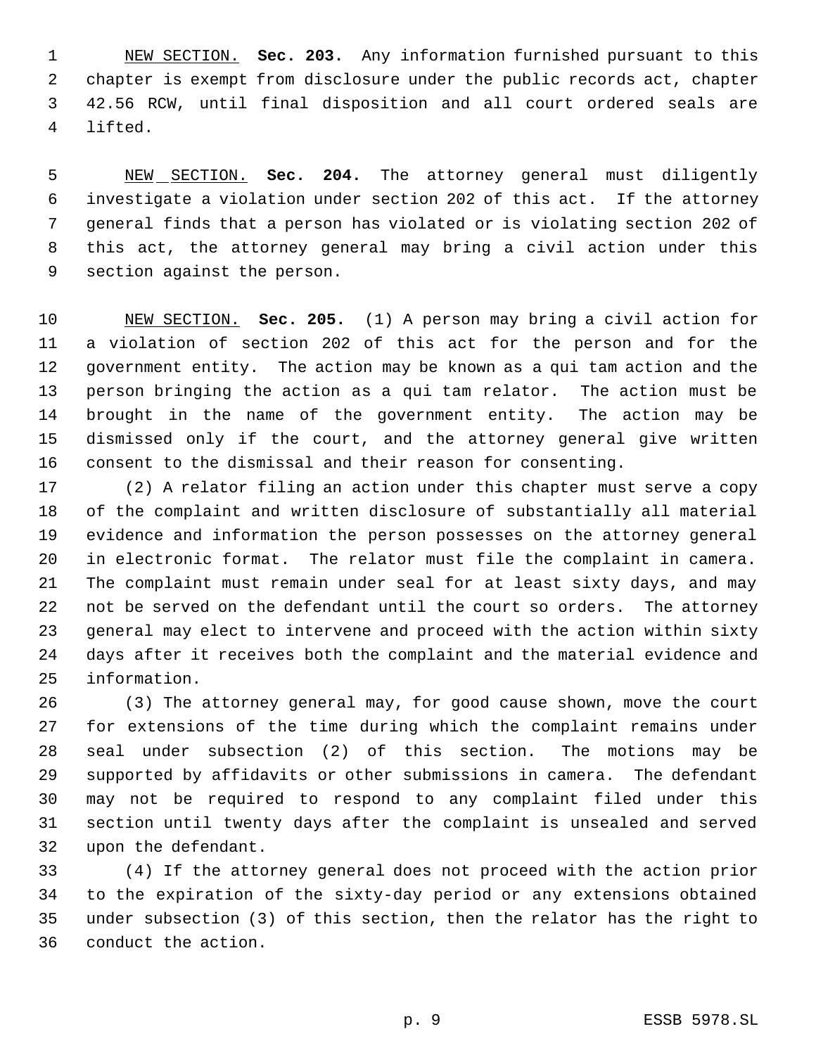NEW SECTION. **Sec. 203.** Any information furnished pursuant to this chapter is exempt from disclosure under the public records act, chapter 42.56 RCW, until final disposition and all court ordered seals are lifted.

 NEW SECTION. **Sec. 204.** The attorney general must diligently investigate a violation under section 202 of this act. If the attorney general finds that a person has violated or is violating section 202 of this act, the attorney general may bring a civil action under this section against the person.

 NEW SECTION. **Sec. 205.** (1) A person may bring a civil action for a violation of section 202 of this act for the person and for the government entity. The action may be known as a qui tam action and the person bringing the action as a qui tam relator. The action must be brought in the name of the government entity. The action may be dismissed only if the court, and the attorney general give written consent to the dismissal and their reason for consenting.

 (2) A relator filing an action under this chapter must serve a copy of the complaint and written disclosure of substantially all material evidence and information the person possesses on the attorney general in electronic format. The relator must file the complaint in camera. The complaint must remain under seal for at least sixty days, and may not be served on the defendant until the court so orders. The attorney general may elect to intervene and proceed with the action within sixty days after it receives both the complaint and the material evidence and information.

 (3) The attorney general may, for good cause shown, move the court for extensions of the time during which the complaint remains under seal under subsection (2) of this section. The motions may be supported by affidavits or other submissions in camera. The defendant may not be required to respond to any complaint filed under this section until twenty days after the complaint is unsealed and served upon the defendant.

 (4) If the attorney general does not proceed with the action prior to the expiration of the sixty-day period or any extensions obtained under subsection (3) of this section, then the relator has the right to conduct the action.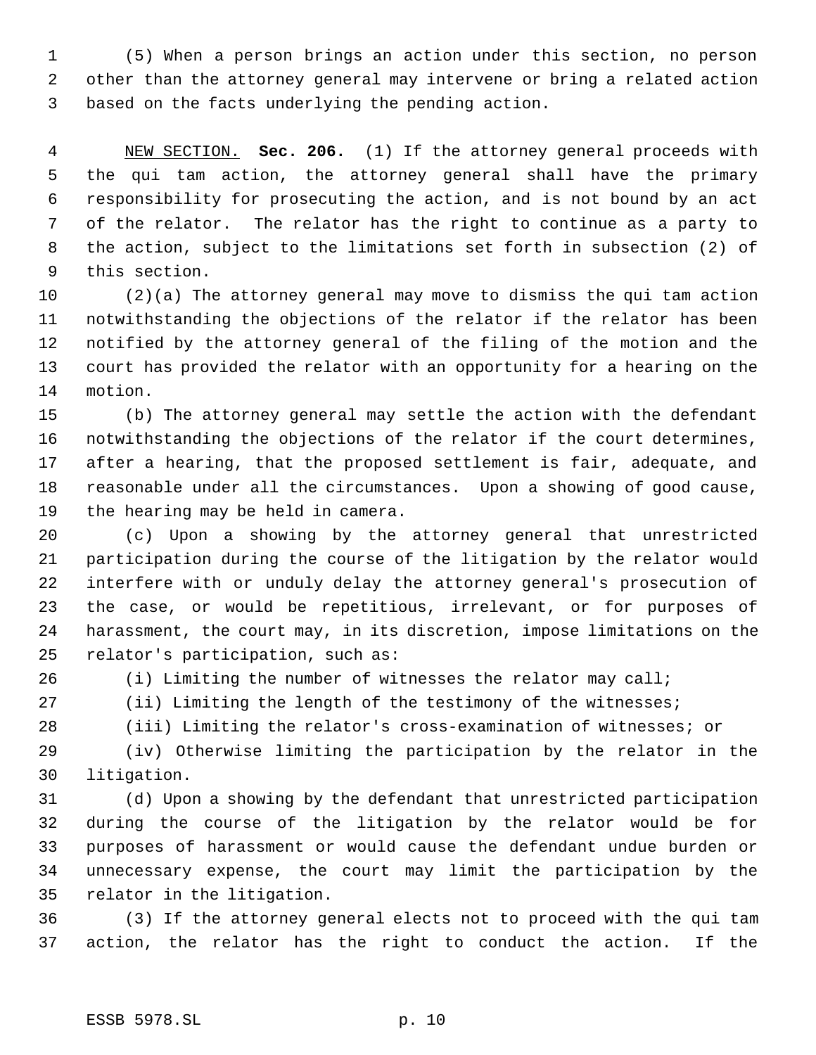(5) When a person brings an action under this section, no person other than the attorney general may intervene or bring a related action based on the facts underlying the pending action.

 NEW SECTION. **Sec. 206.** (1) If the attorney general proceeds with the qui tam action, the attorney general shall have the primary responsibility for prosecuting the action, and is not bound by an act of the relator. The relator has the right to continue as a party to the action, subject to the limitations set forth in subsection (2) of this section.

 (2)(a) The attorney general may move to dismiss the qui tam action notwithstanding the objections of the relator if the relator has been notified by the attorney general of the filing of the motion and the court has provided the relator with an opportunity for a hearing on the motion.

 (b) The attorney general may settle the action with the defendant notwithstanding the objections of the relator if the court determines, after a hearing, that the proposed settlement is fair, adequate, and reasonable under all the circumstances. Upon a showing of good cause, the hearing may be held in camera.

 (c) Upon a showing by the attorney general that unrestricted participation during the course of the litigation by the relator would interfere with or unduly delay the attorney general's prosecution of the case, or would be repetitious, irrelevant, or for purposes of harassment, the court may, in its discretion, impose limitations on the relator's participation, such as:

(i) Limiting the number of witnesses the relator may call;

(ii) Limiting the length of the testimony of the witnesses;

(iii) Limiting the relator's cross-examination of witnesses; or

 (iv) Otherwise limiting the participation by the relator in the litigation.

 (d) Upon a showing by the defendant that unrestricted participation during the course of the litigation by the relator would be for purposes of harassment or would cause the defendant undue burden or unnecessary expense, the court may limit the participation by the relator in the litigation.

 (3) If the attorney general elects not to proceed with the qui tam action, the relator has the right to conduct the action. If the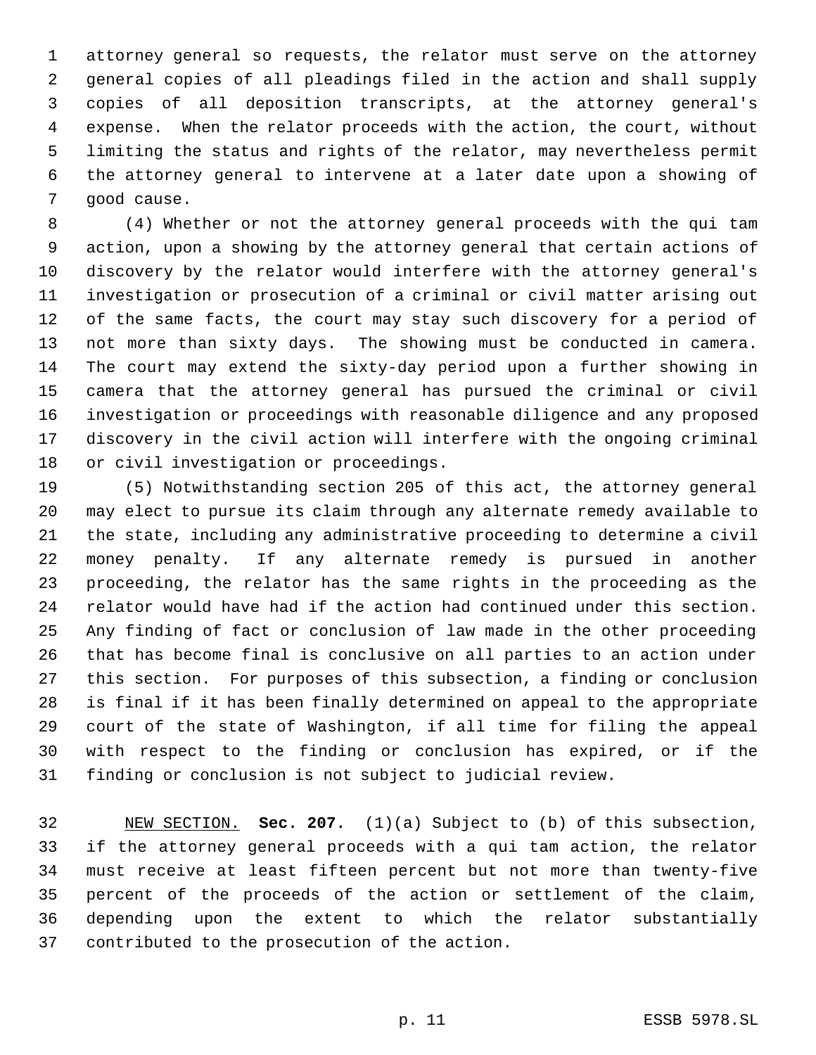attorney general so requests, the relator must serve on the attorney general copies of all pleadings filed in the action and shall supply copies of all deposition transcripts, at the attorney general's expense. When the relator proceeds with the action, the court, without limiting the status and rights of the relator, may nevertheless permit the attorney general to intervene at a later date upon a showing of good cause.

 (4) Whether or not the attorney general proceeds with the qui tam action, upon a showing by the attorney general that certain actions of discovery by the relator would interfere with the attorney general's investigation or prosecution of a criminal or civil matter arising out of the same facts, the court may stay such discovery for a period of not more than sixty days. The showing must be conducted in camera. The court may extend the sixty-day period upon a further showing in camera that the attorney general has pursued the criminal or civil investigation or proceedings with reasonable diligence and any proposed discovery in the civil action will interfere with the ongoing criminal or civil investigation or proceedings.

 (5) Notwithstanding section 205 of this act, the attorney general may elect to pursue its claim through any alternate remedy available to the state, including any administrative proceeding to determine a civil money penalty. If any alternate remedy is pursued in another proceeding, the relator has the same rights in the proceeding as the relator would have had if the action had continued under this section. Any finding of fact or conclusion of law made in the other proceeding that has become final is conclusive on all parties to an action under this section. For purposes of this subsection, a finding or conclusion is final if it has been finally determined on appeal to the appropriate court of the state of Washington, if all time for filing the appeal with respect to the finding or conclusion has expired, or if the finding or conclusion is not subject to judicial review.

 NEW SECTION. **Sec. 207.** (1)(a) Subject to (b) of this subsection, if the attorney general proceeds with a qui tam action, the relator must receive at least fifteen percent but not more than twenty-five percent of the proceeds of the action or settlement of the claim, depending upon the extent to which the relator substantially contributed to the prosecution of the action.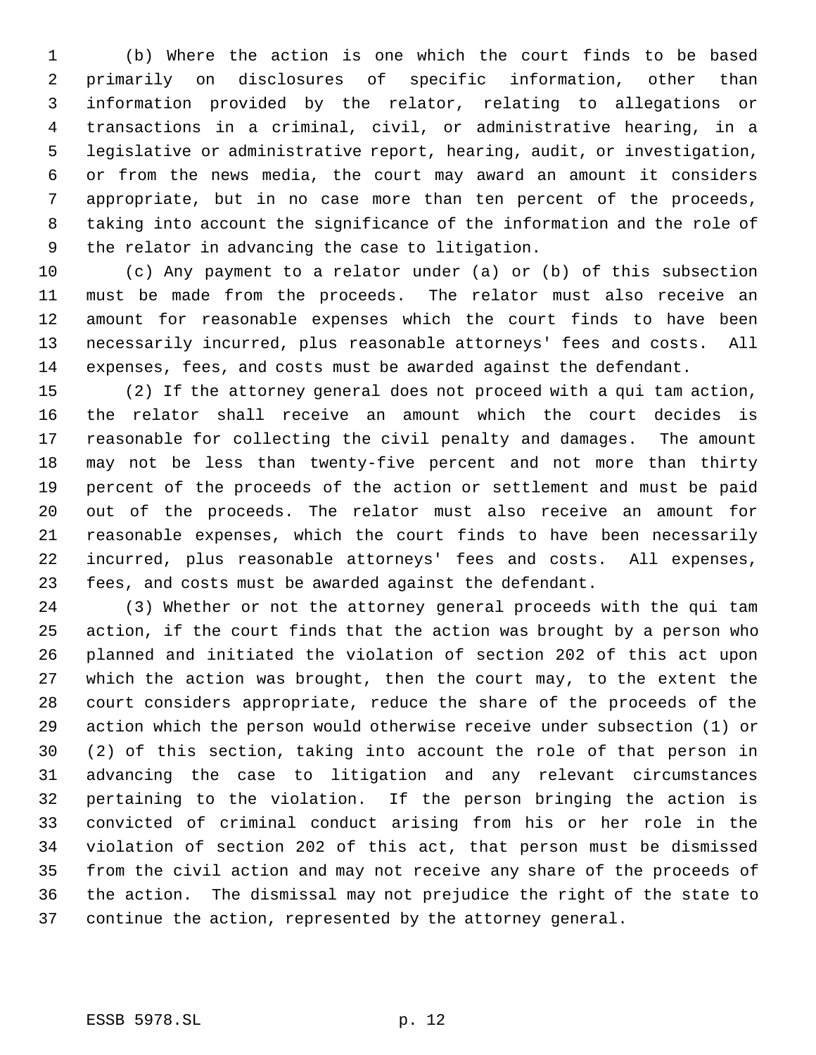(b) Where the action is one which the court finds to be based primarily on disclosures of specific information, other than information provided by the relator, relating to allegations or transactions in a criminal, civil, or administrative hearing, in a legislative or administrative report, hearing, audit, or investigation, or from the news media, the court may award an amount it considers appropriate, but in no case more than ten percent of the proceeds, taking into account the significance of the information and the role of the relator in advancing the case to litigation.

 (c) Any payment to a relator under (a) or (b) of this subsection must be made from the proceeds. The relator must also receive an amount for reasonable expenses which the court finds to have been necessarily incurred, plus reasonable attorneys' fees and costs. All expenses, fees, and costs must be awarded against the defendant.

 (2) If the attorney general does not proceed with a qui tam action, the relator shall receive an amount which the court decides is reasonable for collecting the civil penalty and damages. The amount may not be less than twenty-five percent and not more than thirty percent of the proceeds of the action or settlement and must be paid out of the proceeds. The relator must also receive an amount for reasonable expenses, which the court finds to have been necessarily incurred, plus reasonable attorneys' fees and costs. All expenses, fees, and costs must be awarded against the defendant.

 (3) Whether or not the attorney general proceeds with the qui tam action, if the court finds that the action was brought by a person who planned and initiated the violation of section 202 of this act upon which the action was brought, then the court may, to the extent the court considers appropriate, reduce the share of the proceeds of the action which the person would otherwise receive under subsection (1) or (2) of this section, taking into account the role of that person in advancing the case to litigation and any relevant circumstances pertaining to the violation. If the person bringing the action is convicted of criminal conduct arising from his or her role in the violation of section 202 of this act, that person must be dismissed from the civil action and may not receive any share of the proceeds of the action. The dismissal may not prejudice the right of the state to continue the action, represented by the attorney general.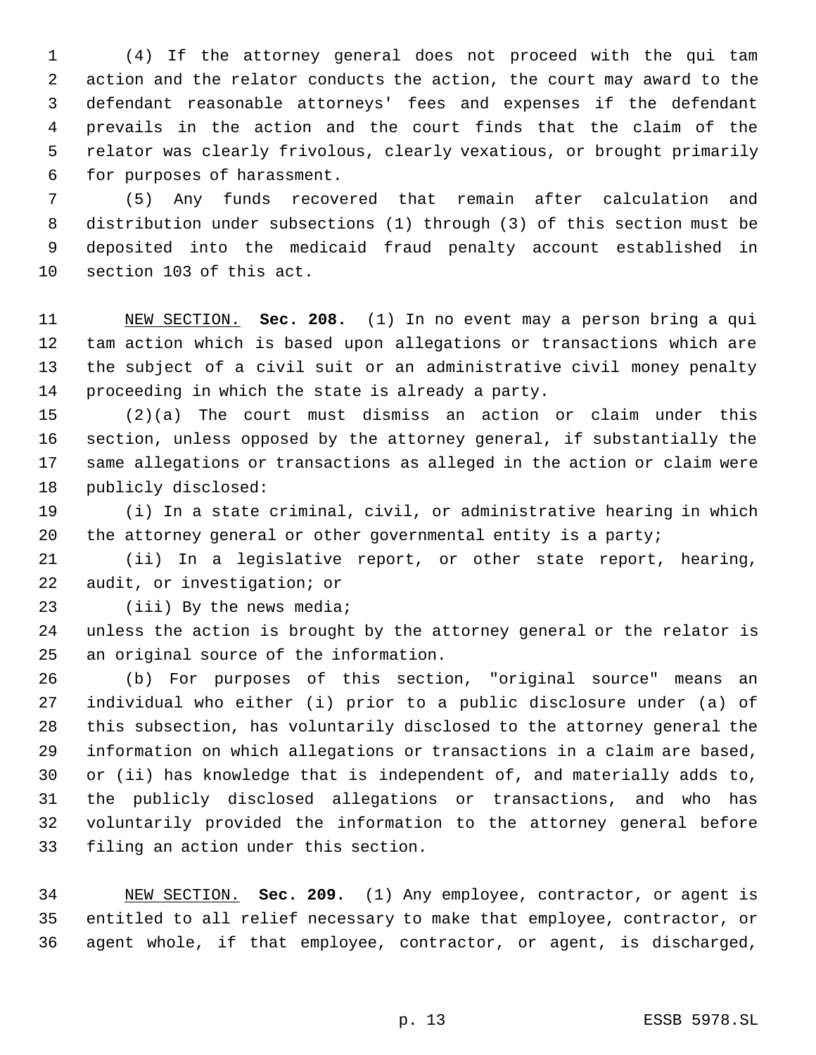(4) If the attorney general does not proceed with the qui tam action and the relator conducts the action, the court may award to the defendant reasonable attorneys' fees and expenses if the defendant prevails in the action and the court finds that the claim of the relator was clearly frivolous, clearly vexatious, or brought primarily for purposes of harassment.

 (5) Any funds recovered that remain after calculation and distribution under subsections (1) through (3) of this section must be deposited into the medicaid fraud penalty account established in section 103 of this act.

 NEW SECTION. **Sec. 208.** (1) In no event may a person bring a qui tam action which is based upon allegations or transactions which are the subject of a civil suit or an administrative civil money penalty proceeding in which the state is already a party.

 (2)(a) The court must dismiss an action or claim under this section, unless opposed by the attorney general, if substantially the same allegations or transactions as alleged in the action or claim were publicly disclosed:

 (i) In a state criminal, civil, or administrative hearing in which the attorney general or other governmental entity is a party;

 (ii) In a legislative report, or other state report, hearing, audit, or investigation; or

(iii) By the news media;

 unless the action is brought by the attorney general or the relator is an original source of the information.

 (b) For purposes of this section, "original source" means an individual who either (i) prior to a public disclosure under (a) of this subsection, has voluntarily disclosed to the attorney general the information on which allegations or transactions in a claim are based, or (ii) has knowledge that is independent of, and materially adds to, the publicly disclosed allegations or transactions, and who has voluntarily provided the information to the attorney general before filing an action under this section.

 NEW SECTION. **Sec. 209.** (1) Any employee, contractor, or agent is entitled to all relief necessary to make that employee, contractor, or agent whole, if that employee, contractor, or agent, is discharged,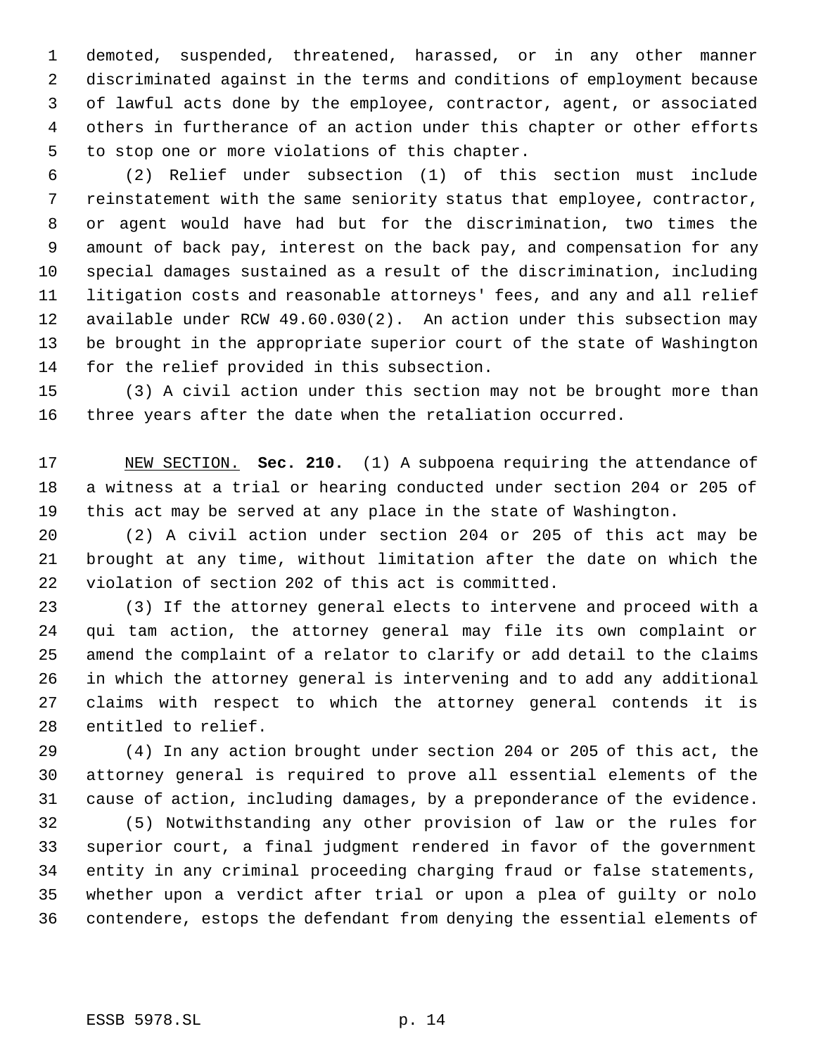demoted, suspended, threatened, harassed, or in any other manner discriminated against in the terms and conditions of employment because of lawful acts done by the employee, contractor, agent, or associated others in furtherance of an action under this chapter or other efforts to stop one or more violations of this chapter.

 (2) Relief under subsection (1) of this section must include reinstatement with the same seniority status that employee, contractor, or agent would have had but for the discrimination, two times the amount of back pay, interest on the back pay, and compensation for any special damages sustained as a result of the discrimination, including litigation costs and reasonable attorneys' fees, and any and all relief available under RCW 49.60.030(2). An action under this subsection may be brought in the appropriate superior court of the state of Washington for the relief provided in this subsection.

 (3) A civil action under this section may not be brought more than three years after the date when the retaliation occurred.

 NEW SECTION. **Sec. 210.** (1) A subpoena requiring the attendance of a witness at a trial or hearing conducted under section 204 or 205 of this act may be served at any place in the state of Washington.

 (2) A civil action under section 204 or 205 of this act may be brought at any time, without limitation after the date on which the violation of section 202 of this act is committed.

 (3) If the attorney general elects to intervene and proceed with a qui tam action, the attorney general may file its own complaint or amend the complaint of a relator to clarify or add detail to the claims in which the attorney general is intervening and to add any additional claims with respect to which the attorney general contends it is entitled to relief.

 (4) In any action brought under section 204 or 205 of this act, the attorney general is required to prove all essential elements of the cause of action, including damages, by a preponderance of the evidence.

 (5) Notwithstanding any other provision of law or the rules for superior court, a final judgment rendered in favor of the government entity in any criminal proceeding charging fraud or false statements, whether upon a verdict after trial or upon a plea of guilty or nolo contendere, estops the defendant from denying the essential elements of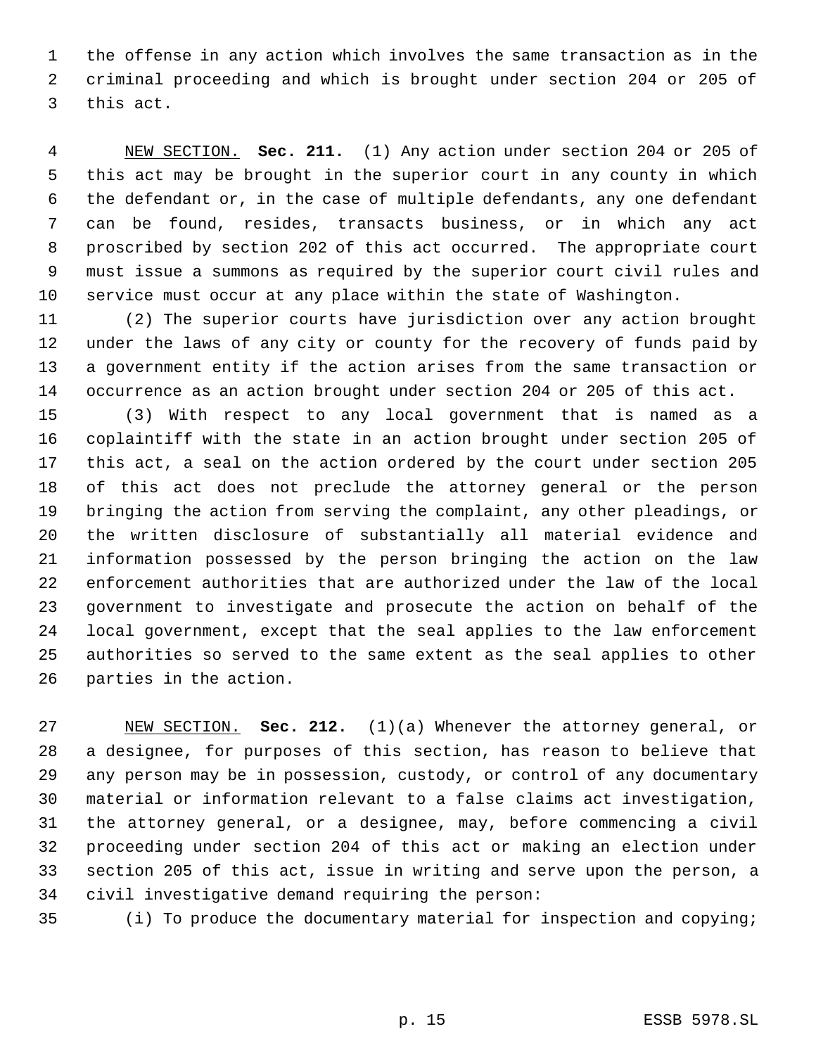the offense in any action which involves the same transaction as in the criminal proceeding and which is brought under section 204 or 205 of this act.

 NEW SECTION. **Sec. 211.** (1) Any action under section 204 or 205 of this act may be brought in the superior court in any county in which the defendant or, in the case of multiple defendants, any one defendant can be found, resides, transacts business, or in which any act proscribed by section 202 of this act occurred. The appropriate court must issue a summons as required by the superior court civil rules and service must occur at any place within the state of Washington.

 (2) The superior courts have jurisdiction over any action brought under the laws of any city or county for the recovery of funds paid by a government entity if the action arises from the same transaction or occurrence as an action brought under section 204 or 205 of this act.

 (3) With respect to any local government that is named as a coplaintiff with the state in an action brought under section 205 of this act, a seal on the action ordered by the court under section 205 of this act does not preclude the attorney general or the person bringing the action from serving the complaint, any other pleadings, or the written disclosure of substantially all material evidence and information possessed by the person bringing the action on the law enforcement authorities that are authorized under the law of the local government to investigate and prosecute the action on behalf of the local government, except that the seal applies to the law enforcement authorities so served to the same extent as the seal applies to other parties in the action.

 NEW SECTION. **Sec. 212.** (1)(a) Whenever the attorney general, or a designee, for purposes of this section, has reason to believe that any person may be in possession, custody, or control of any documentary material or information relevant to a false claims act investigation, the attorney general, or a designee, may, before commencing a civil proceeding under section 204 of this act or making an election under section 205 of this act, issue in writing and serve upon the person, a civil investigative demand requiring the person:

(i) To produce the documentary material for inspection and copying;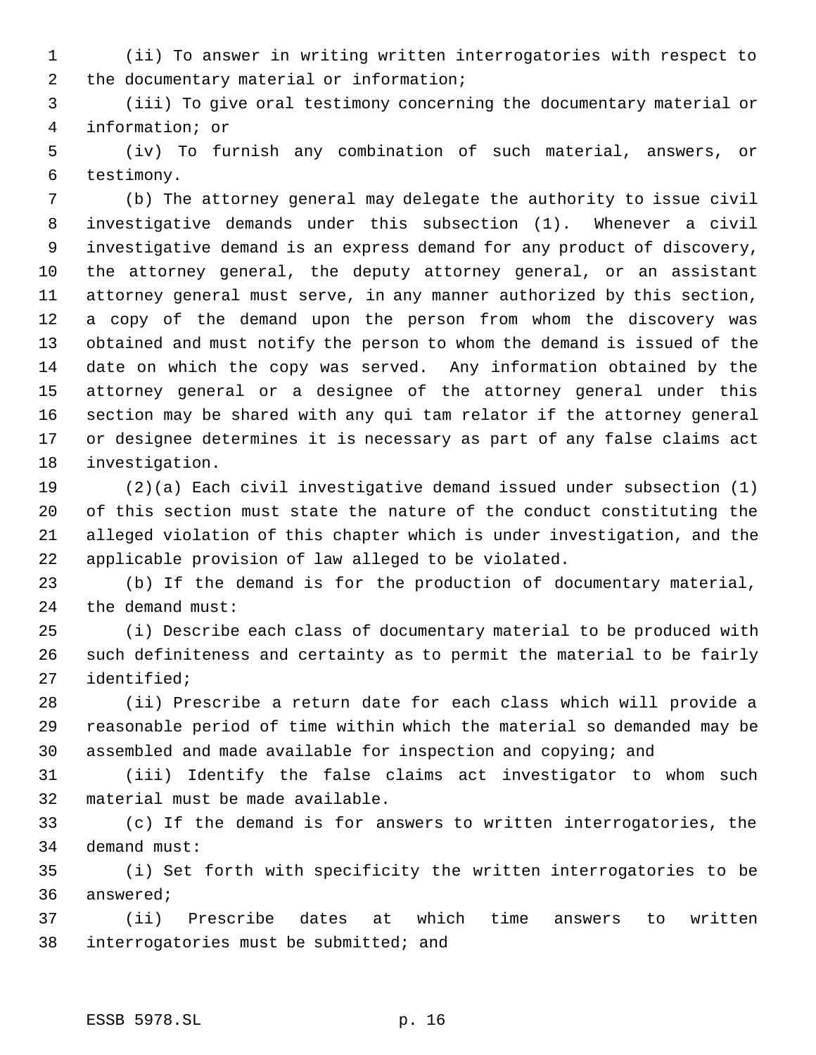(ii) To answer in writing written interrogatories with respect to the documentary material or information;

 (iii) To give oral testimony concerning the documentary material or information; or

 (iv) To furnish any combination of such material, answers, or testimony.

 (b) The attorney general may delegate the authority to issue civil investigative demands under this subsection (1). Whenever a civil investigative demand is an express demand for any product of discovery, the attorney general, the deputy attorney general, or an assistant attorney general must serve, in any manner authorized by this section, a copy of the demand upon the person from whom the discovery was obtained and must notify the person to whom the demand is issued of the date on which the copy was served. Any information obtained by the attorney general or a designee of the attorney general under this section may be shared with any qui tam relator if the attorney general or designee determines it is necessary as part of any false claims act investigation.

 (2)(a) Each civil investigative demand issued under subsection (1) of this section must state the nature of the conduct constituting the alleged violation of this chapter which is under investigation, and the applicable provision of law alleged to be violated.

 (b) If the demand is for the production of documentary material, the demand must:

 (i) Describe each class of documentary material to be produced with such definiteness and certainty as to permit the material to be fairly identified;

 (ii) Prescribe a return date for each class which will provide a reasonable period of time within which the material so demanded may be assembled and made available for inspection and copying; and

 (iii) Identify the false claims act investigator to whom such material must be made available.

 (c) If the demand is for answers to written interrogatories, the demand must:

 (i) Set forth with specificity the written interrogatories to be answered;

 (ii) Prescribe dates at which time answers to written interrogatories must be submitted; and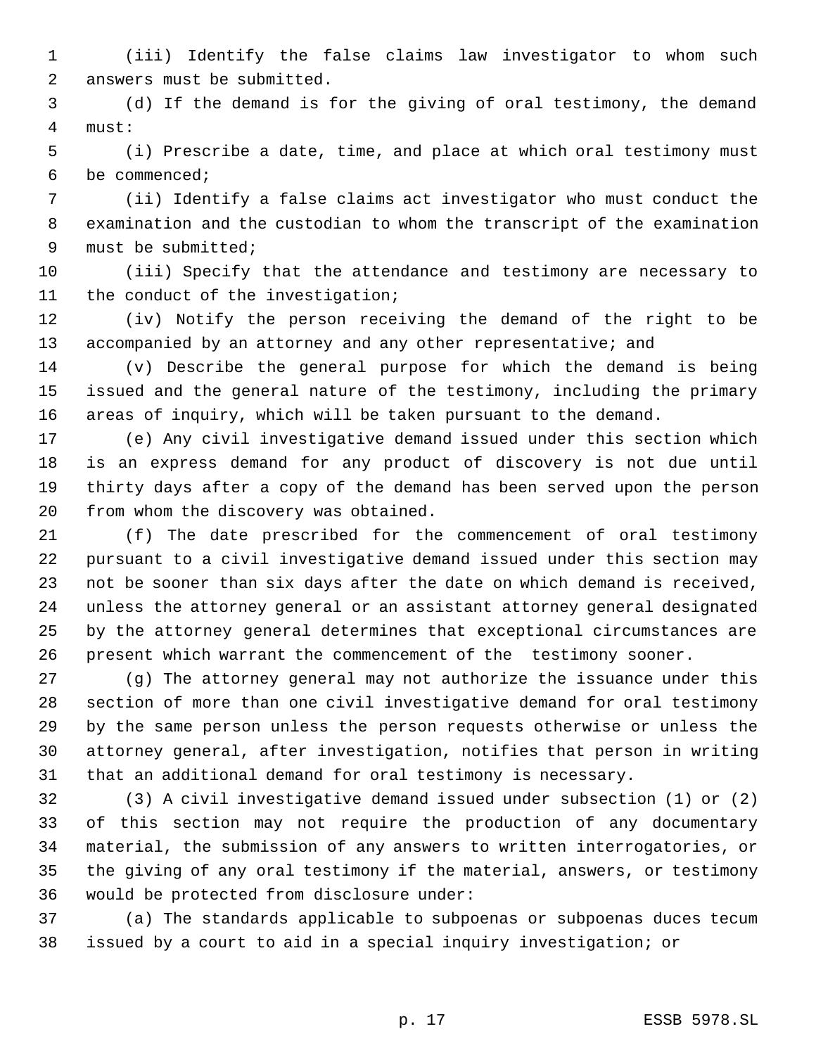(iii) Identify the false claims law investigator to whom such answers must be submitted.

 (d) If the demand is for the giving of oral testimony, the demand must:

 (i) Prescribe a date, time, and place at which oral testimony must be commenced;

 (ii) Identify a false claims act investigator who must conduct the examination and the custodian to whom the transcript of the examination must be submitted;

 (iii) Specify that the attendance and testimony are necessary to 11 the conduct of the investigation;

 (iv) Notify the person receiving the demand of the right to be 13 accompanied by an attorney and any other representative; and

 (v) Describe the general purpose for which the demand is being issued and the general nature of the testimony, including the primary areas of inquiry, which will be taken pursuant to the demand.

 (e) Any civil investigative demand issued under this section which is an express demand for any product of discovery is not due until thirty days after a copy of the demand has been served upon the person from whom the discovery was obtained.

 (f) The date prescribed for the commencement of oral testimony pursuant to a civil investigative demand issued under this section may not be sooner than six days after the date on which demand is received, unless the attorney general or an assistant attorney general designated by the attorney general determines that exceptional circumstances are present which warrant the commencement of the testimony sooner.

 (g) The attorney general may not authorize the issuance under this section of more than one civil investigative demand for oral testimony by the same person unless the person requests otherwise or unless the attorney general, after investigation, notifies that person in writing that an additional demand for oral testimony is necessary.

 (3) A civil investigative demand issued under subsection (1) or (2) of this section may not require the production of any documentary material, the submission of any answers to written interrogatories, or the giving of any oral testimony if the material, answers, or testimony would be protected from disclosure under:

 (a) The standards applicable to subpoenas or subpoenas duces tecum issued by a court to aid in a special inquiry investigation; or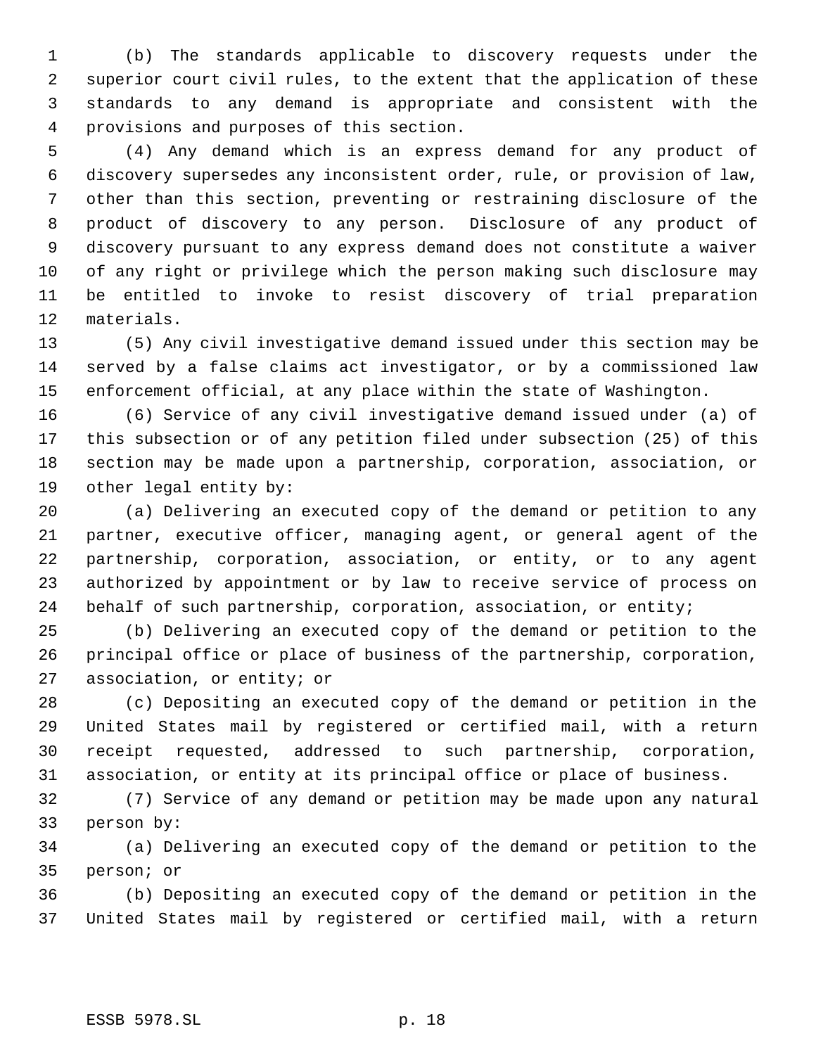(b) The standards applicable to discovery requests under the superior court civil rules, to the extent that the application of these standards to any demand is appropriate and consistent with the provisions and purposes of this section.

 (4) Any demand which is an express demand for any product of discovery supersedes any inconsistent order, rule, or provision of law, other than this section, preventing or restraining disclosure of the product of discovery to any person. Disclosure of any product of discovery pursuant to any express demand does not constitute a waiver of any right or privilege which the person making such disclosure may be entitled to invoke to resist discovery of trial preparation materials.

 (5) Any civil investigative demand issued under this section may be served by a false claims act investigator, or by a commissioned law enforcement official, at any place within the state of Washington.

 (6) Service of any civil investigative demand issued under (a) of this subsection or of any petition filed under subsection (25) of this section may be made upon a partnership, corporation, association, or other legal entity by:

 (a) Delivering an executed copy of the demand or petition to any partner, executive officer, managing agent, or general agent of the partnership, corporation, association, or entity, or to any agent authorized by appointment or by law to receive service of process on behalf of such partnership, corporation, association, or entity;

 (b) Delivering an executed copy of the demand or petition to the principal office or place of business of the partnership, corporation, association, or entity; or

 (c) Depositing an executed copy of the demand or petition in the United States mail by registered or certified mail, with a return receipt requested, addressed to such partnership, corporation, association, or entity at its principal office or place of business.

 (7) Service of any demand or petition may be made upon any natural person by:

 (a) Delivering an executed copy of the demand or petition to the person; or

 (b) Depositing an executed copy of the demand or petition in the United States mail by registered or certified mail, with a return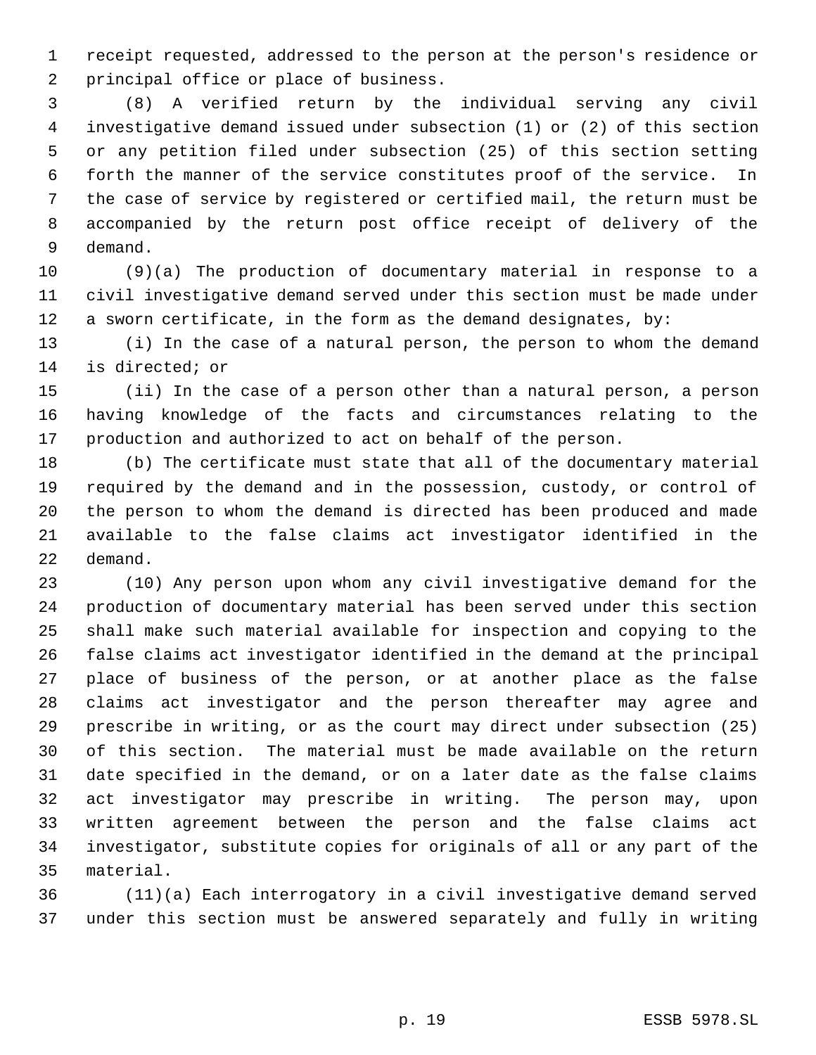receipt requested, addressed to the person at the person's residence or principal office or place of business.

 (8) A verified return by the individual serving any civil investigative demand issued under subsection (1) or (2) of this section or any petition filed under subsection (25) of this section setting forth the manner of the service constitutes proof of the service. In the case of service by registered or certified mail, the return must be accompanied by the return post office receipt of delivery of the demand.

 (9)(a) The production of documentary material in response to a civil investigative demand served under this section must be made under a sworn certificate, in the form as the demand designates, by:

 (i) In the case of a natural person, the person to whom the demand is directed; or

 (ii) In the case of a person other than a natural person, a person having knowledge of the facts and circumstances relating to the production and authorized to act on behalf of the person.

 (b) The certificate must state that all of the documentary material required by the demand and in the possession, custody, or control of the person to whom the demand is directed has been produced and made available to the false claims act investigator identified in the demand.

 (10) Any person upon whom any civil investigative demand for the production of documentary material has been served under this section shall make such material available for inspection and copying to the false claims act investigator identified in the demand at the principal place of business of the person, or at another place as the false claims act investigator and the person thereafter may agree and prescribe in writing, or as the court may direct under subsection (25) of this section. The material must be made available on the return date specified in the demand, or on a later date as the false claims act investigator may prescribe in writing. The person may, upon written agreement between the person and the false claims act investigator, substitute copies for originals of all or any part of the material.

 (11)(a) Each interrogatory in a civil investigative demand served under this section must be answered separately and fully in writing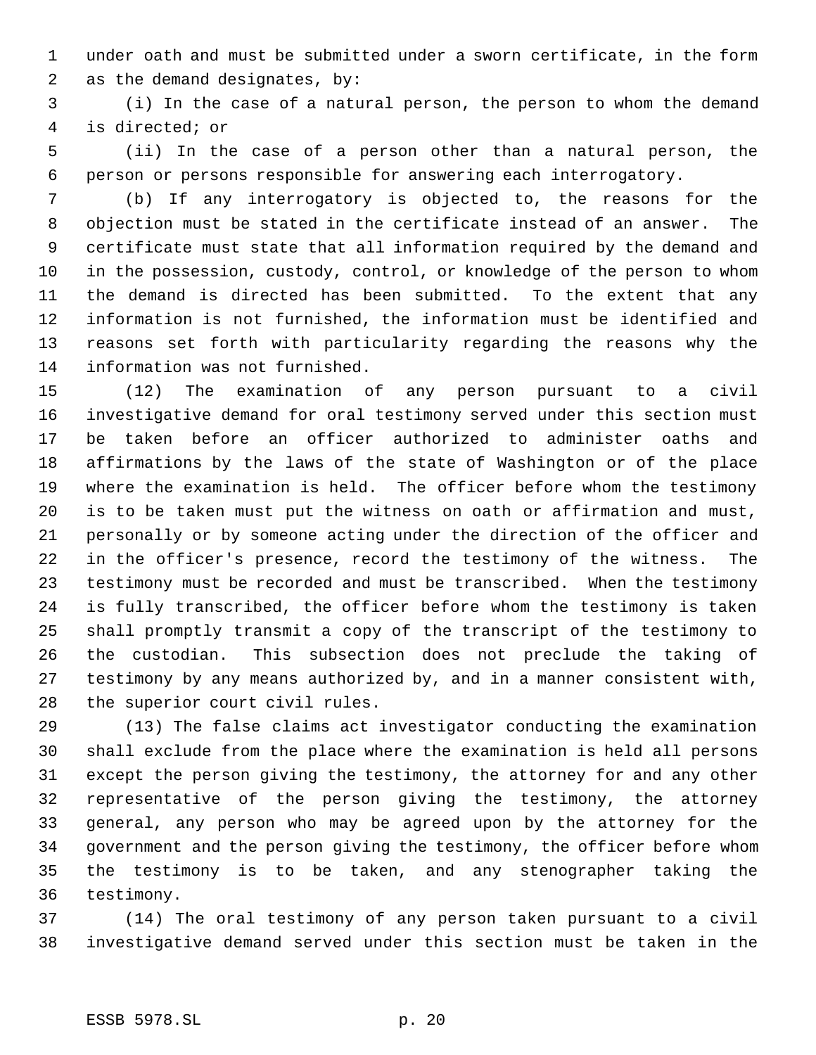under oath and must be submitted under a sworn certificate, in the form as the demand designates, by:

 (i) In the case of a natural person, the person to whom the demand is directed; or

 (ii) In the case of a person other than a natural person, the person or persons responsible for answering each interrogatory.

 (b) If any interrogatory is objected to, the reasons for the objection must be stated in the certificate instead of an answer. The certificate must state that all information required by the demand and in the possession, custody, control, or knowledge of the person to whom the demand is directed has been submitted. To the extent that any information is not furnished, the information must be identified and reasons set forth with particularity regarding the reasons why the information was not furnished.

 (12) The examination of any person pursuant to a civil investigative demand for oral testimony served under this section must be taken before an officer authorized to administer oaths and affirmations by the laws of the state of Washington or of the place where the examination is held. The officer before whom the testimony is to be taken must put the witness on oath or affirmation and must, personally or by someone acting under the direction of the officer and in the officer's presence, record the testimony of the witness. The testimony must be recorded and must be transcribed. When the testimony is fully transcribed, the officer before whom the testimony is taken shall promptly transmit a copy of the transcript of the testimony to the custodian. This subsection does not preclude the taking of testimony by any means authorized by, and in a manner consistent with, the superior court civil rules.

 (13) The false claims act investigator conducting the examination shall exclude from the place where the examination is held all persons except the person giving the testimony, the attorney for and any other representative of the person giving the testimony, the attorney general, any person who may be agreed upon by the attorney for the government and the person giving the testimony, the officer before whom the testimony is to be taken, and any stenographer taking the testimony.

 (14) The oral testimony of any person taken pursuant to a civil investigative demand served under this section must be taken in the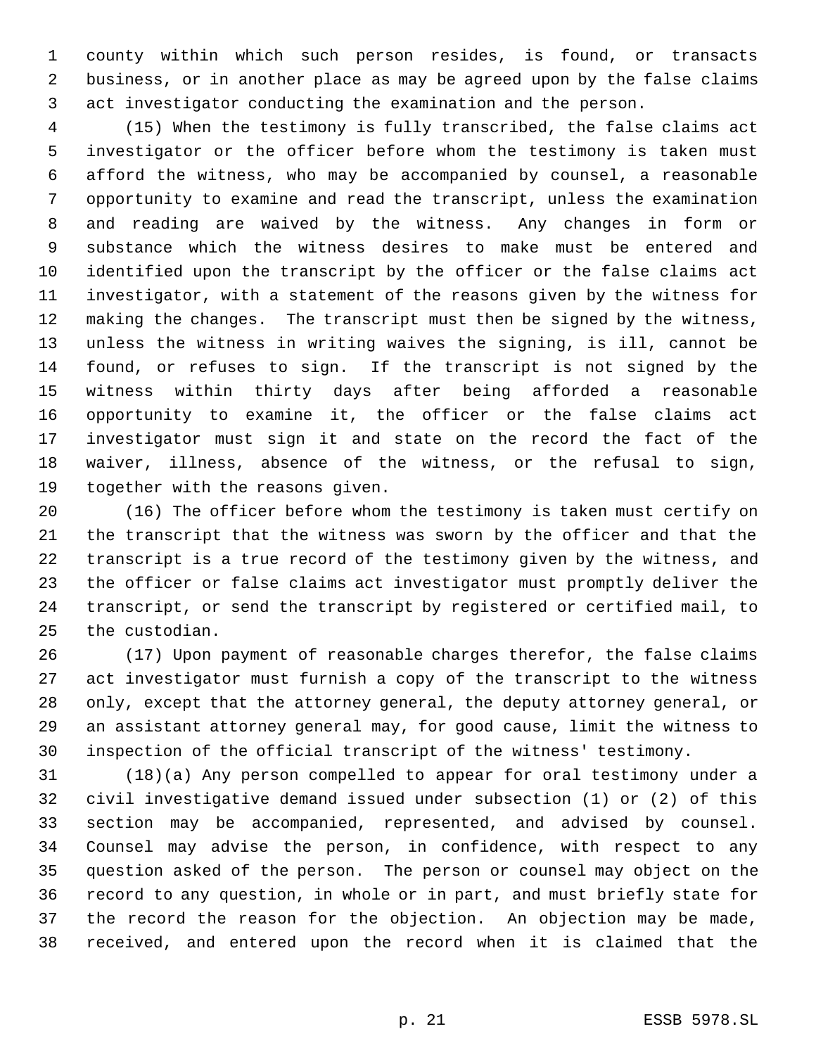county within which such person resides, is found, or transacts business, or in another place as may be agreed upon by the false claims act investigator conducting the examination and the person.

 (15) When the testimony is fully transcribed, the false claims act investigator or the officer before whom the testimony is taken must afford the witness, who may be accompanied by counsel, a reasonable opportunity to examine and read the transcript, unless the examination and reading are waived by the witness. Any changes in form or substance which the witness desires to make must be entered and identified upon the transcript by the officer or the false claims act investigator, with a statement of the reasons given by the witness for making the changes. The transcript must then be signed by the witness, unless the witness in writing waives the signing, is ill, cannot be found, or refuses to sign. If the transcript is not signed by the witness within thirty days after being afforded a reasonable opportunity to examine it, the officer or the false claims act investigator must sign it and state on the record the fact of the waiver, illness, absence of the witness, or the refusal to sign, together with the reasons given.

 (16) The officer before whom the testimony is taken must certify on the transcript that the witness was sworn by the officer and that the transcript is a true record of the testimony given by the witness, and the officer or false claims act investigator must promptly deliver the transcript, or send the transcript by registered or certified mail, to the custodian.

 (17) Upon payment of reasonable charges therefor, the false claims act investigator must furnish a copy of the transcript to the witness only, except that the attorney general, the deputy attorney general, or an assistant attorney general may, for good cause, limit the witness to inspection of the official transcript of the witness' testimony.

 (18)(a) Any person compelled to appear for oral testimony under a civil investigative demand issued under subsection (1) or (2) of this section may be accompanied, represented, and advised by counsel. Counsel may advise the person, in confidence, with respect to any question asked of the person. The person or counsel may object on the record to any question, in whole or in part, and must briefly state for the record the reason for the objection. An objection may be made, received, and entered upon the record when it is claimed that the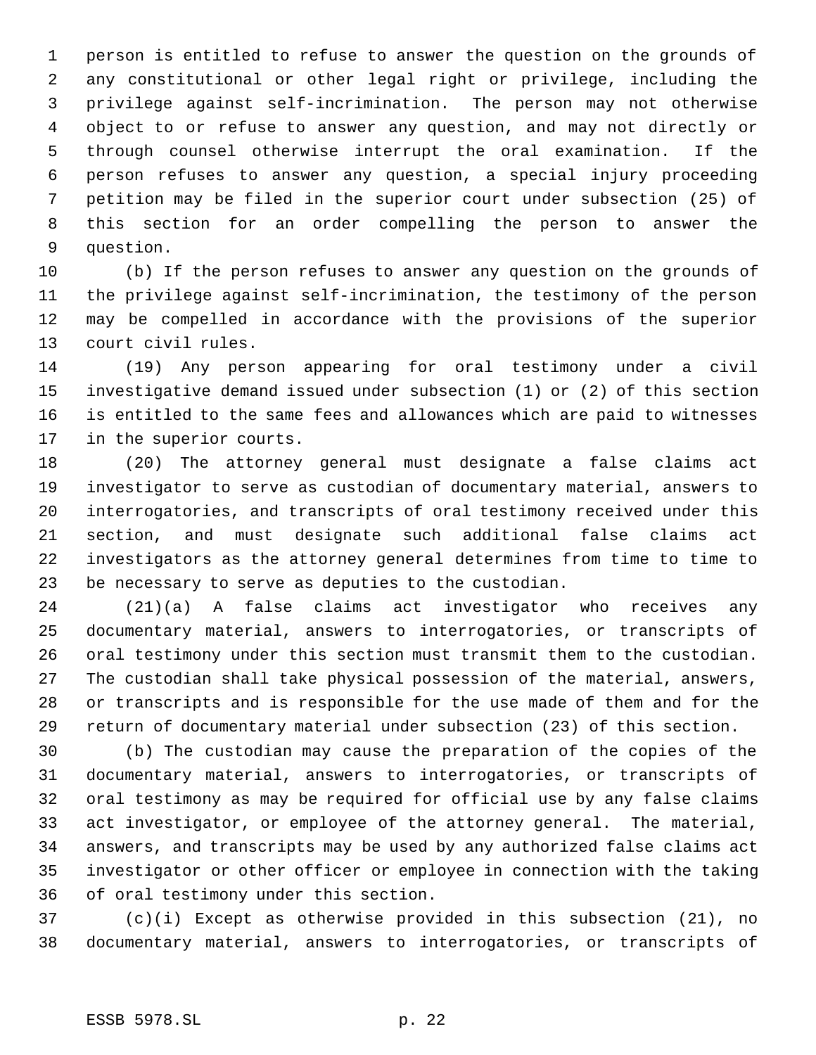person is entitled to refuse to answer the question on the grounds of any constitutional or other legal right or privilege, including the privilege against self-incrimination. The person may not otherwise object to or refuse to answer any question, and may not directly or through counsel otherwise interrupt the oral examination. If the person refuses to answer any question, a special injury proceeding petition may be filed in the superior court under subsection (25) of this section for an order compelling the person to answer the question.

 (b) If the person refuses to answer any question on the grounds of the privilege against self-incrimination, the testimony of the person may be compelled in accordance with the provisions of the superior court civil rules.

 (19) Any person appearing for oral testimony under a civil investigative demand issued under subsection (1) or (2) of this section is entitled to the same fees and allowances which are paid to witnesses in the superior courts.

 (20) The attorney general must designate a false claims act investigator to serve as custodian of documentary material, answers to interrogatories, and transcripts of oral testimony received under this section, and must designate such additional false claims act investigators as the attorney general determines from time to time to be necessary to serve as deputies to the custodian.

 (21)(a) A false claims act investigator who receives any documentary material, answers to interrogatories, or transcripts of oral testimony under this section must transmit them to the custodian. The custodian shall take physical possession of the material, answers, or transcripts and is responsible for the use made of them and for the return of documentary material under subsection (23) of this section.

 (b) The custodian may cause the preparation of the copies of the documentary material, answers to interrogatories, or transcripts of oral testimony as may be required for official use by any false claims act investigator, or employee of the attorney general. The material, answers, and transcripts may be used by any authorized false claims act investigator or other officer or employee in connection with the taking of oral testimony under this section.

 (c)(i) Except as otherwise provided in this subsection (21), no documentary material, answers to interrogatories, or transcripts of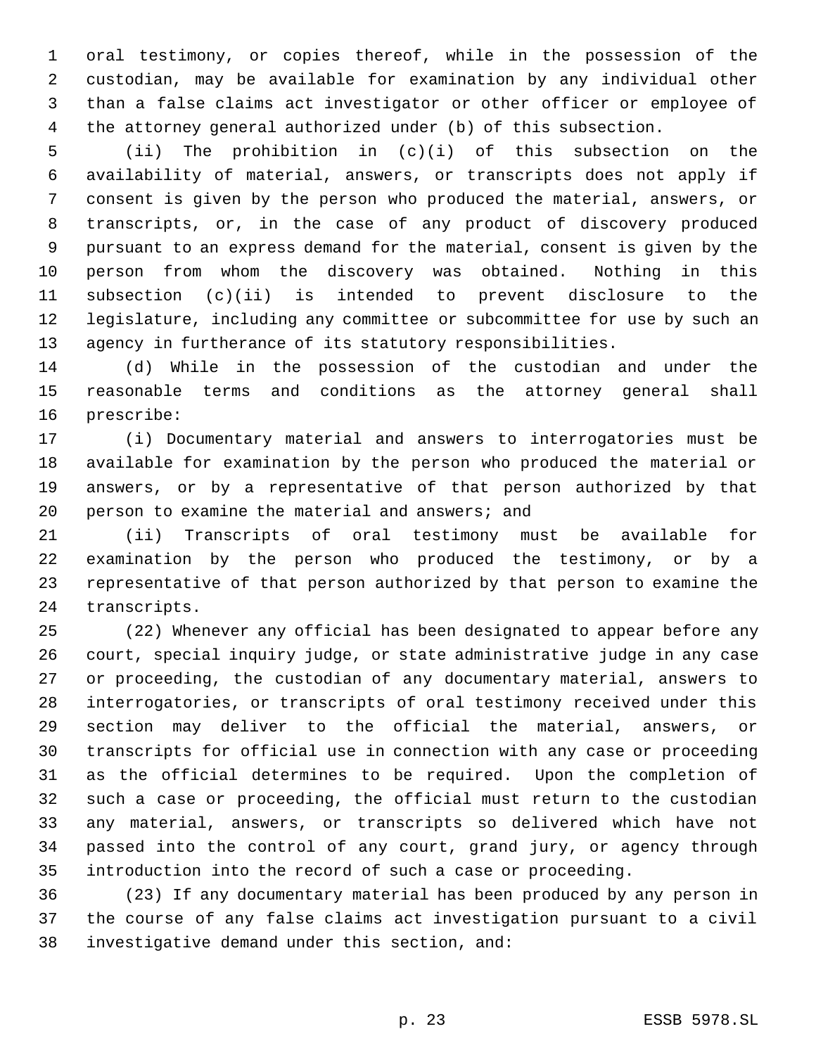oral testimony, or copies thereof, while in the possession of the custodian, may be available for examination by any individual other than a false claims act investigator or other officer or employee of the attorney general authorized under (b) of this subsection.

 (ii) The prohibition in (c)(i) of this subsection on the availability of material, answers, or transcripts does not apply if consent is given by the person who produced the material, answers, or transcripts, or, in the case of any product of discovery produced pursuant to an express demand for the material, consent is given by the person from whom the discovery was obtained. Nothing in this subsection (c)(ii) is intended to prevent disclosure to the legislature, including any committee or subcommittee for use by such an agency in furtherance of its statutory responsibilities.

 (d) While in the possession of the custodian and under the reasonable terms and conditions as the attorney general shall prescribe:

 (i) Documentary material and answers to interrogatories must be available for examination by the person who produced the material or answers, or by a representative of that person authorized by that person to examine the material and answers; and

 (ii) Transcripts of oral testimony must be available for examination by the person who produced the testimony, or by a representative of that person authorized by that person to examine the transcripts.

 (22) Whenever any official has been designated to appear before any court, special inquiry judge, or state administrative judge in any case or proceeding, the custodian of any documentary material, answers to interrogatories, or transcripts of oral testimony received under this section may deliver to the official the material, answers, or transcripts for official use in connection with any case or proceeding as the official determines to be required. Upon the completion of such a case or proceeding, the official must return to the custodian any material, answers, or transcripts so delivered which have not passed into the control of any court, grand jury, or agency through introduction into the record of such a case or proceeding.

 (23) If any documentary material has been produced by any person in the course of any false claims act investigation pursuant to a civil investigative demand under this section, and: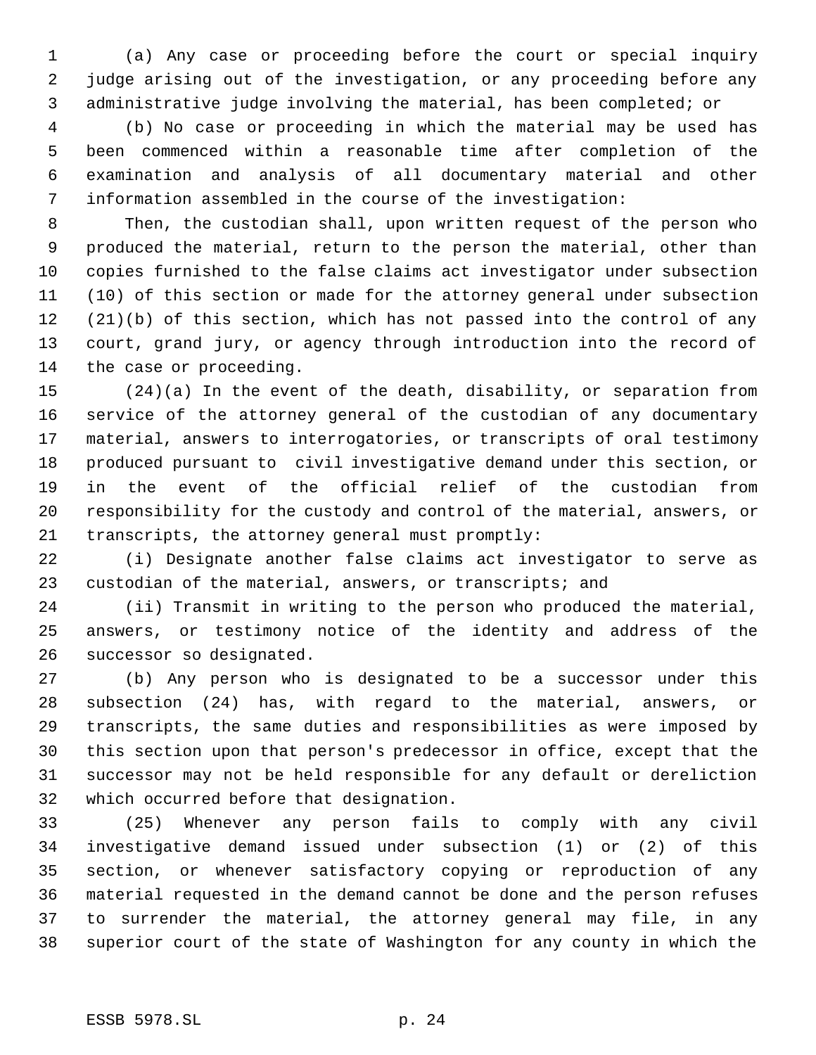(a) Any case or proceeding before the court or special inquiry judge arising out of the investigation, or any proceeding before any administrative judge involving the material, has been completed; or

 (b) No case or proceeding in which the material may be used has been commenced within a reasonable time after completion of the examination and analysis of all documentary material and other information assembled in the course of the investigation:

 Then, the custodian shall, upon written request of the person who produced the material, return to the person the material, other than copies furnished to the false claims act investigator under subsection (10) of this section or made for the attorney general under subsection (21)(b) of this section, which has not passed into the control of any court, grand jury, or agency through introduction into the record of the case or proceeding.

 (24)(a) In the event of the death, disability, or separation from service of the attorney general of the custodian of any documentary material, answers to interrogatories, or transcripts of oral testimony produced pursuant to civil investigative demand under this section, or in the event of the official relief of the custodian from responsibility for the custody and control of the material, answers, or transcripts, the attorney general must promptly:

 (i) Designate another false claims act investigator to serve as custodian of the material, answers, or transcripts; and

 (ii) Transmit in writing to the person who produced the material, answers, or testimony notice of the identity and address of the successor so designated.

 (b) Any person who is designated to be a successor under this subsection (24) has, with regard to the material, answers, or transcripts, the same duties and responsibilities as were imposed by this section upon that person's predecessor in office, except that the successor may not be held responsible for any default or dereliction which occurred before that designation.

 (25) Whenever any person fails to comply with any civil investigative demand issued under subsection (1) or (2) of this section, or whenever satisfactory copying or reproduction of any material requested in the demand cannot be done and the person refuses to surrender the material, the attorney general may file, in any superior court of the state of Washington for any county in which the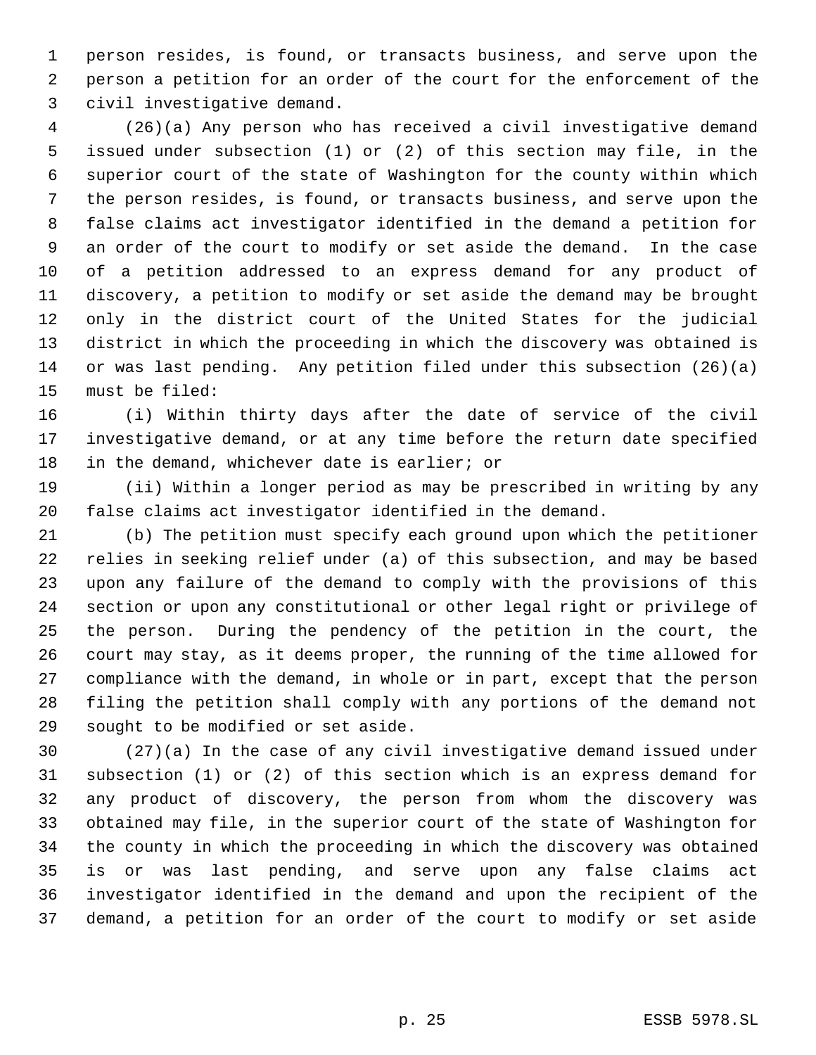person resides, is found, or transacts business, and serve upon the person a petition for an order of the court for the enforcement of the civil investigative demand.

 (26)(a) Any person who has received a civil investigative demand issued under subsection (1) or (2) of this section may file, in the superior court of the state of Washington for the county within which the person resides, is found, or transacts business, and serve upon the false claims act investigator identified in the demand a petition for an order of the court to modify or set aside the demand. In the case of a petition addressed to an express demand for any product of discovery, a petition to modify or set aside the demand may be brought only in the district court of the United States for the judicial district in which the proceeding in which the discovery was obtained is or was last pending. Any petition filed under this subsection (26)(a) must be filed:

 (i) Within thirty days after the date of service of the civil investigative demand, or at any time before the return date specified in the demand, whichever date is earlier; or

 (ii) Within a longer period as may be prescribed in writing by any false claims act investigator identified in the demand.

 (b) The petition must specify each ground upon which the petitioner relies in seeking relief under (a) of this subsection, and may be based upon any failure of the demand to comply with the provisions of this section or upon any constitutional or other legal right or privilege of the person. During the pendency of the petition in the court, the court may stay, as it deems proper, the running of the time allowed for compliance with the demand, in whole or in part, except that the person filing the petition shall comply with any portions of the demand not sought to be modified or set aside.

 (27)(a) In the case of any civil investigative demand issued under subsection (1) or (2) of this section which is an express demand for any product of discovery, the person from whom the discovery was obtained may file, in the superior court of the state of Washington for the county in which the proceeding in which the discovery was obtained is or was last pending, and serve upon any false claims act investigator identified in the demand and upon the recipient of the demand, a petition for an order of the court to modify or set aside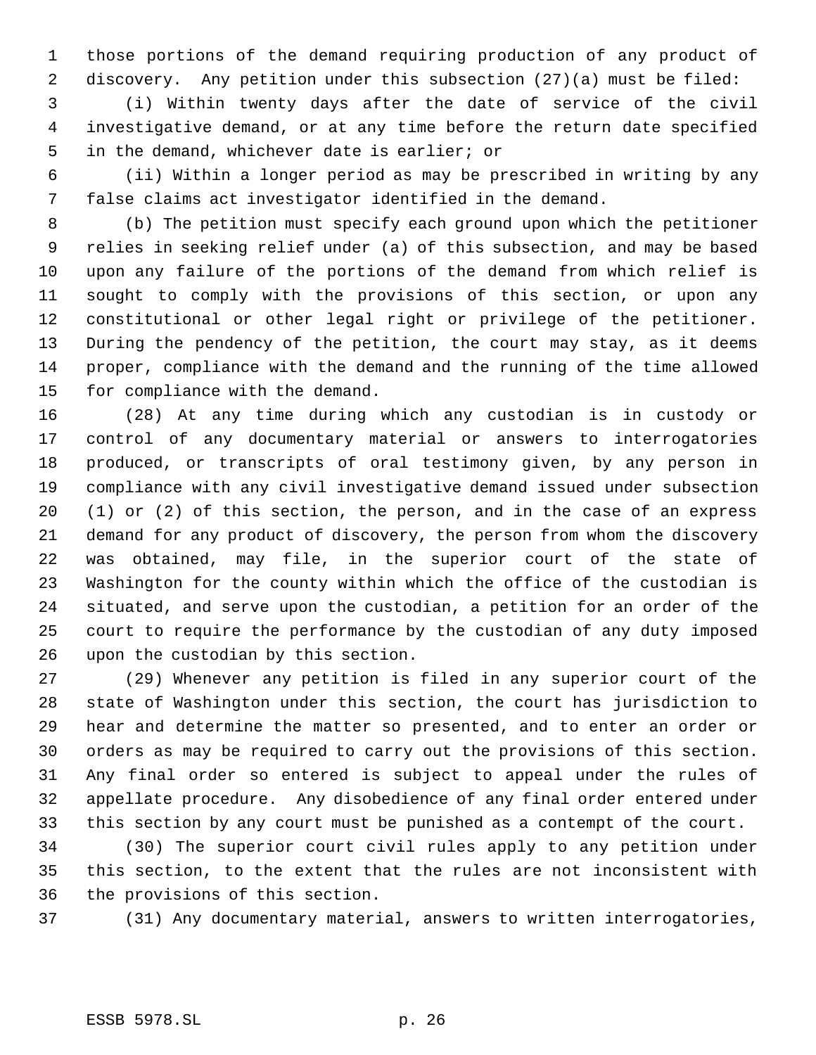those portions of the demand requiring production of any product of discovery. Any petition under this subsection (27)(a) must be filed:

 (i) Within twenty days after the date of service of the civil investigative demand, or at any time before the return date specified in the demand, whichever date is earlier; or

 (ii) Within a longer period as may be prescribed in writing by any false claims act investigator identified in the demand.

 (b) The petition must specify each ground upon which the petitioner relies in seeking relief under (a) of this subsection, and may be based upon any failure of the portions of the demand from which relief is sought to comply with the provisions of this section, or upon any constitutional or other legal right or privilege of the petitioner. During the pendency of the petition, the court may stay, as it deems proper, compliance with the demand and the running of the time allowed for compliance with the demand.

 (28) At any time during which any custodian is in custody or control of any documentary material or answers to interrogatories produced, or transcripts of oral testimony given, by any person in compliance with any civil investigative demand issued under subsection (1) or (2) of this section, the person, and in the case of an express demand for any product of discovery, the person from whom the discovery was obtained, may file, in the superior court of the state of Washington for the county within which the office of the custodian is situated, and serve upon the custodian, a petition for an order of the court to require the performance by the custodian of any duty imposed upon the custodian by this section.

 (29) Whenever any petition is filed in any superior court of the state of Washington under this section, the court has jurisdiction to hear and determine the matter so presented, and to enter an order or orders as may be required to carry out the provisions of this section. Any final order so entered is subject to appeal under the rules of appellate procedure. Any disobedience of any final order entered under this section by any court must be punished as a contempt of the court.

 (30) The superior court civil rules apply to any petition under this section, to the extent that the rules are not inconsistent with the provisions of this section.

(31) Any documentary material, answers to written interrogatories,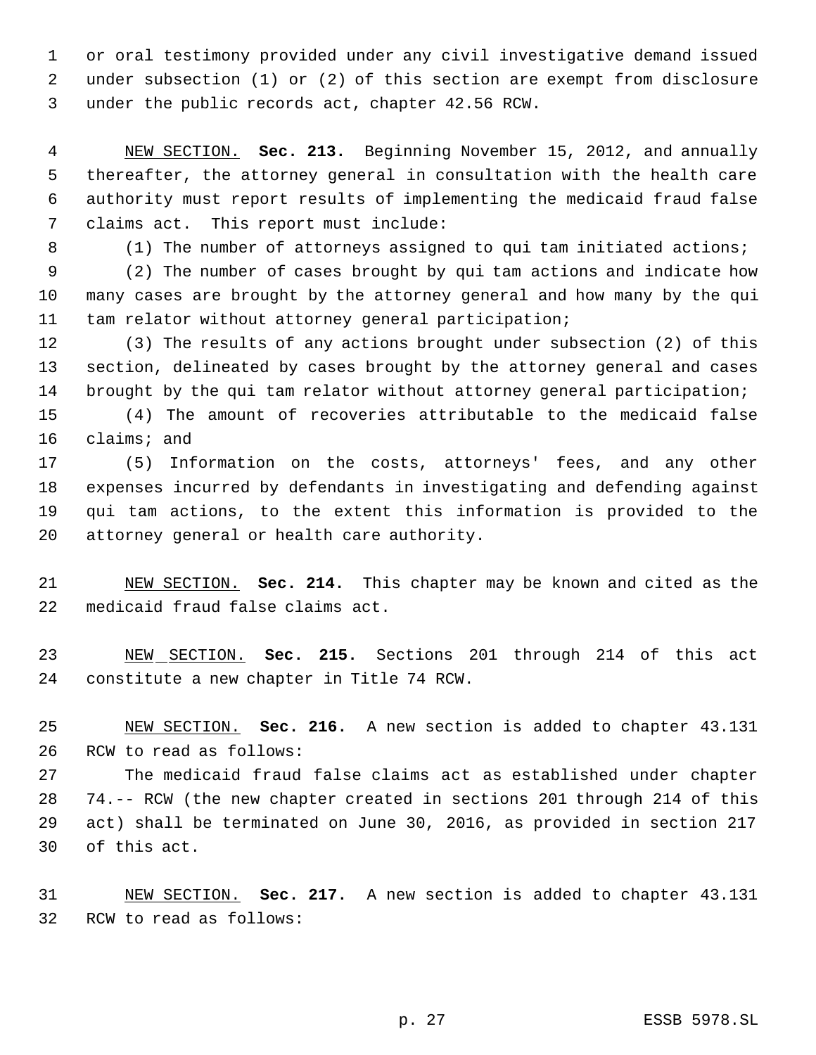or oral testimony provided under any civil investigative demand issued under subsection (1) or (2) of this section are exempt from disclosure under the public records act, chapter 42.56 RCW.

 NEW SECTION. **Sec. 213.** Beginning November 15, 2012, and annually thereafter, the attorney general in consultation with the health care authority must report results of implementing the medicaid fraud false claims act. This report must include:

(1) The number of attorneys assigned to qui tam initiated actions;

 (2) The number of cases brought by qui tam actions and indicate how many cases are brought by the attorney general and how many by the qui tam relator without attorney general participation;

 (3) The results of any actions brought under subsection (2) of this section, delineated by cases brought by the attorney general and cases 14 brought by the qui tam relator without attorney general participation;

 (4) The amount of recoveries attributable to the medicaid false claims; and

 (5) Information on the costs, attorneys' fees, and any other expenses incurred by defendants in investigating and defending against qui tam actions, to the extent this information is provided to the attorney general or health care authority.

 NEW SECTION. **Sec. 214.** This chapter may be known and cited as the medicaid fraud false claims act.

 NEW SECTION. **Sec. 215.** Sections 201 through 214 of this act constitute a new chapter in Title 74 RCW.

 NEW SECTION. **Sec. 216.** A new section is added to chapter 43.131 RCW to read as follows:

 The medicaid fraud false claims act as established under chapter 74.-- RCW (the new chapter created in sections 201 through 214 of this act) shall be terminated on June 30, 2016, as provided in section 217 of this act.

 NEW SECTION. **Sec. 217.** A new section is added to chapter 43.131 RCW to read as follows: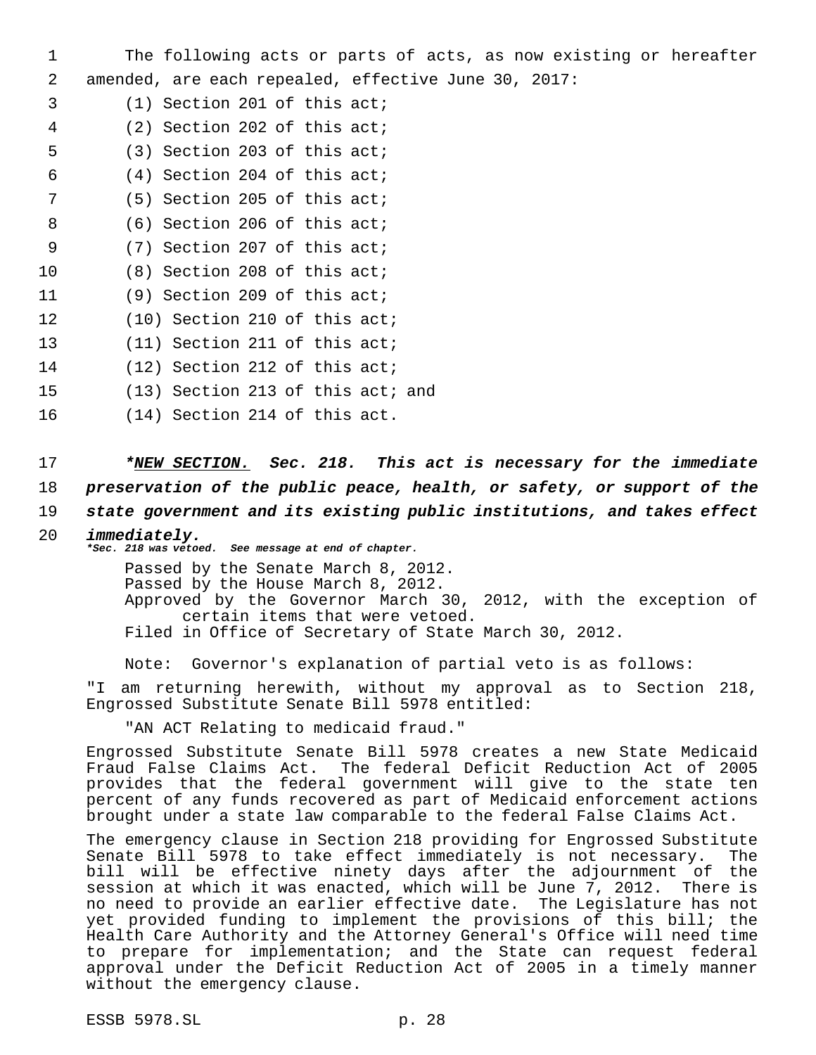1 The following acts or parts of acts, as now existing or hereafter 2 amended, are each repealed, effective June 30, 2017:

- 3 (1) Section 201 of this act;
- 4 (2) Section 202 of this act;
- 5 (3) Section 203 of this act;
- 6 (4) Section 204 of this act;
- 7 (5) Section 205 of this act;
- 8 (6) Section 206 of this act;
- 9 (7) Section 207 of this act;
- 10 (8) Section 208 of this act;
- 11 (9) Section 209 of this act;
- 12 (10) Section 210 of this act;
- 13 (11) Section 211 of this act;
- 14 (12) Section 212 of this act;
- 15 (13) Section 213 of this act; and
- 16 (14) Section 214 of this act.

17 *\*NEW SECTION. Sec. 218. This act is necessary for the immediate* 18 *preservation of the public peace, health, or safety, or support of the*

19 *state government and its existing public institutions, and takes effect*

### 20 *immediately.*

*\*Sec. 218 was vetoed. See message at end of chapter.* Passed by the Senate March 8, 2012. Passed by the House March 8, 2012. Approved by the Governor March 30, 2012, with the exception of certain items that were vetoed. Filed in Office of Secretary of State March 30, 2012.

Note: Governor's explanation of partial veto is as follows:

"I am returning herewith, without my approval as to Section 218, Engrossed Substitute Senate Bill 5978 entitled:

"AN ACT Relating to medicaid fraud."

Engrossed Substitute Senate Bill 5978 creates a new State Medicaid Fraud False Claims Act. The federal Deficit Reduction Act of 2005 provides that the federal government will give to the state ten percent of any funds recovered as part of Medicaid enforcement actions brought under a state law comparable to the federal False Claims Act.

The emergency clause in Section 218 providing for Engrossed Substitute Senate Bill 5978 to take effect immediately is not necessary. The bill will be effective ninety days after the adjournment of the session at which it was enacted, which will be June 7, 2012. There is no need to provide an earlier effective date. The Legislature has not yet provided funding to implement the provisions of this bill; the Health Care Authority and the Attorney General's Office will need time to prepare for implementation; and the State can request federal approval under the Deficit Reduction Act of 2005 in a timely manner without the emergency clause.